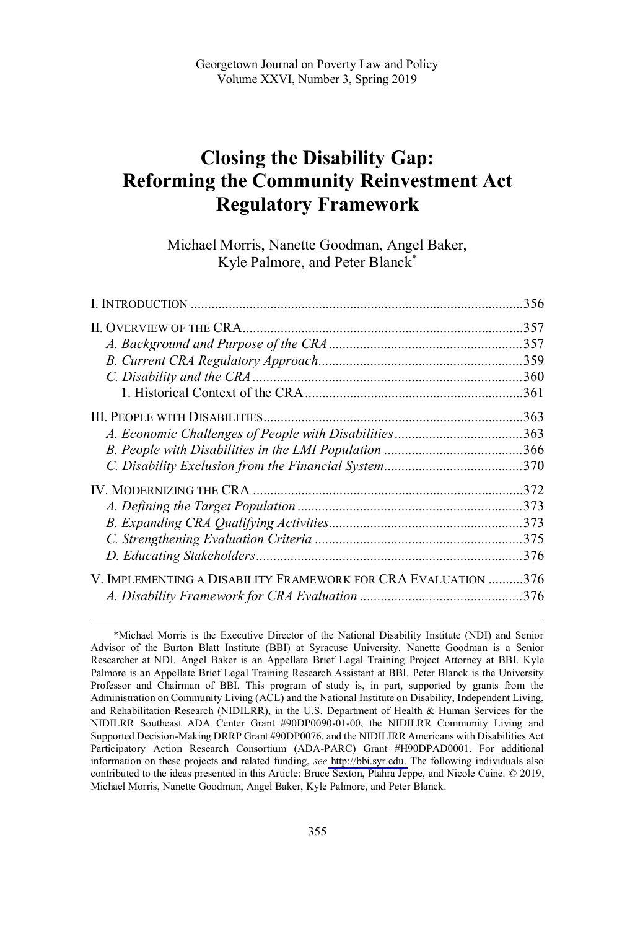# **Closing the Disability Gap: Reforming the Community Reinvestment Act Regulatory Framework**

Michael Morris, Nanette Goodman, Angel Baker, Kyle Palmore, and Peter Blanck\*

|                                                               | .356 |
|---------------------------------------------------------------|------|
|                                                               | .357 |
|                                                               |      |
|                                                               |      |
|                                                               |      |
|                                                               | .361 |
|                                                               | .363 |
|                                                               |      |
|                                                               |      |
|                                                               |      |
|                                                               |      |
|                                                               |      |
|                                                               | .373 |
|                                                               | .375 |
|                                                               | .376 |
| V. IMPLEMENTING A DISABILITY FRAMEWORK FOR CRA EVALUATION 376 |      |
|                                                               |      |

Michael Morris is the Executive Director of the National Disability Institute (NDI) and Senior \*Advisor of the Burton Blatt Institute (BBI) at Syracuse University. Nanette Goodman is a Senior Researcher at NDI. Angel Baker is an Appellate Brief Legal Training Project Attorney at BBI. Kyle Palmore is an Appellate Brief Legal Training Research Assistant at BBI. Peter Blanck is the University Professor and Chairman of BBI. This program of study is, in part, supported by grants from the Administration on Community Living (ACL) and the National Institute on Disability, Independent Living, and Rehabilitation Research (NIDILRR), in the U.S. Department of Health & Human Services for the NIDILRR Southeast ADA Center Grant #90DP0090-01-00, the NIDILRR Community Living and Supported Decision-Making DRRP Grant #90DP0076, and the NIDILIRR Americans with Disabilities Act Participatory Action Research Consortium (ADA-PARC) Grant #H90DPAD0001. For additional information on these projects and related funding, *see* [http://bbi.syr.edu.](http://bbi.syr.edu) The following individuals also contributed to the ideas presented in this Article: Bruce Sexton, Ptahra Jeppe, and Nicole Caine. © 2019, Michael Morris, Nanette Goodman, Angel Baker, Kyle Palmore, and Peter Blanck.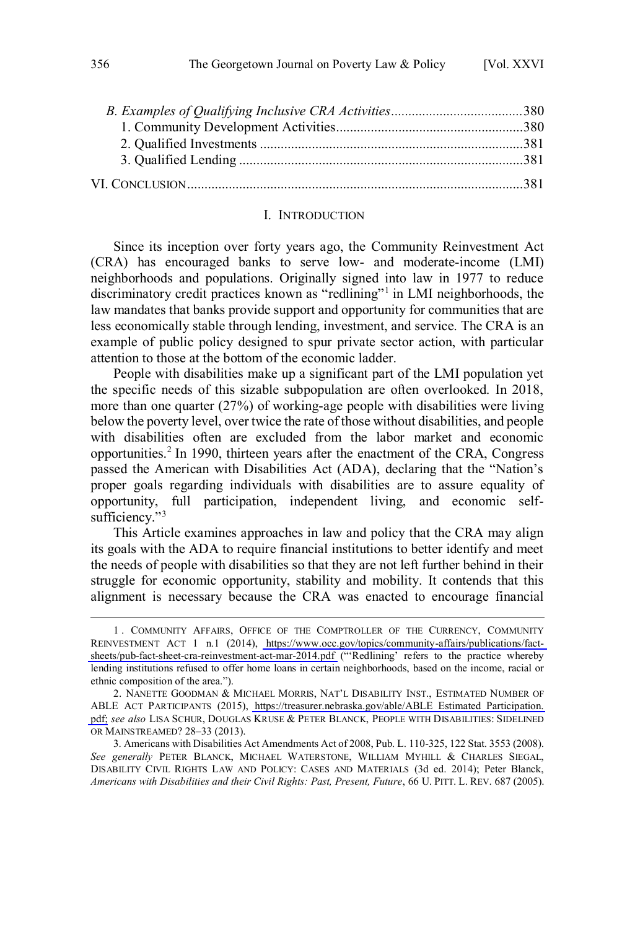<span id="page-1-0"></span>

#### I. INTRODUCTION

Since its inception over forty years ago, the Community Reinvestment Act (CRA) has encouraged banks to serve low- and moderate-income (LMI) neighborhoods and populations. Originally signed into law in 1977 to reduce discriminatory credit practices known as "redlining"<sup>1</sup> in LMI neighborhoods, the law mandates that banks provide support and opportunity for communities that are less economically stable through lending, investment, and service. The CRA is an example of public policy designed to spur private sector action, with particular attention to those at the bottom of the economic ladder.

People with disabilities make up a significant part of the LMI population yet the specific needs of this sizable subpopulation are often overlooked. In 2018, more than one quarter (27%) of working-age people with disabilities were living below the poverty level, over twice the rate of those without disabilities, and people with disabilities often are excluded from the labor market and economic opportunities.<sup>2</sup> In 1990, thirteen years after the enactment of the CRA, Congress passed the American with Disabilities Act (ADA), declaring that the "Nation's proper goals regarding individuals with disabilities are to assure equality of opportunity, full participation, independent living, and economic selfsufficiency."<sup>3</sup>

This Article examines approaches in law and policy that the CRA may align its goals with the ADA to require financial institutions to better identify and meet the needs of people with disabilities so that they are not left further behind in their struggle for economic opportunity, stability and mobility. It contends that this alignment is necessary because the CRA was enacted to encourage financial

COMMUNITY AFFAIRS, OFFICE OF THE COMPTROLLER OF THE CURRENCY, COMMUNITY 1 . REINVESTMENT ACT 1 n.1 (2014), [https://www.occ.gov/topics/community-affairs/publications/fact](https://www.occ.gov/topics/community-affairs/publications/fact-sheets/pub-fact-sheet-cra-reinvestment-act-mar-2014.pdf)[sheets/pub-fact-sheet-cra-reinvestment-act-mar-2014.pdf](https://www.occ.gov/topics/community-affairs/publications/fact-sheets/pub-fact-sheet-cra-reinvestment-act-mar-2014.pdf) ("'Redlining' refers to the practice whereby lending institutions refused to offer home loans in certain neighborhoods, based on the income, racial or ethnic composition of the area.").

<sup>2.</sup> NANETTE GOODMAN & MICHAEL MORRIS, NAT'L DISABILITY INST., ESTIMATED NUMBER OF ABLE ACT PARTICIPANTS (2015), [https://treasurer.nebraska.gov/able/ABLE\\_Estimated\\_Participation.](https://treasurer.nebraska.gov/able/ABLE_Estimated_Participation.pdf) [pdf;](https://treasurer.nebraska.gov/able/ABLE_Estimated_Participation.pdf) *see also* LISA SCHUR, DOUGLAS KRUSE & PETER BLANCK, PEOPLE WITH DISABILITIES: SIDELINED OR MAINSTREAMED? 28–33 (2013).

<sup>3.</sup> Americans with Disabilities Act Amendments Act of 2008, Pub. L. 110-325, 122 Stat. 3553 (2008). *See generally* PETER BLANCK, MICHAEL WATERSTONE, WILLIAM MYHILL & CHARLES SIEGAL, DISABILITY CIVIL RIGHTS LAW AND POLICY: CASES AND MATERIALS (3d ed. 2014); Peter Blanck, *Americans with Disabilities and their Civil Rights: Past, Present, Future*, 66 U. PITT. L. REV. 687 (2005).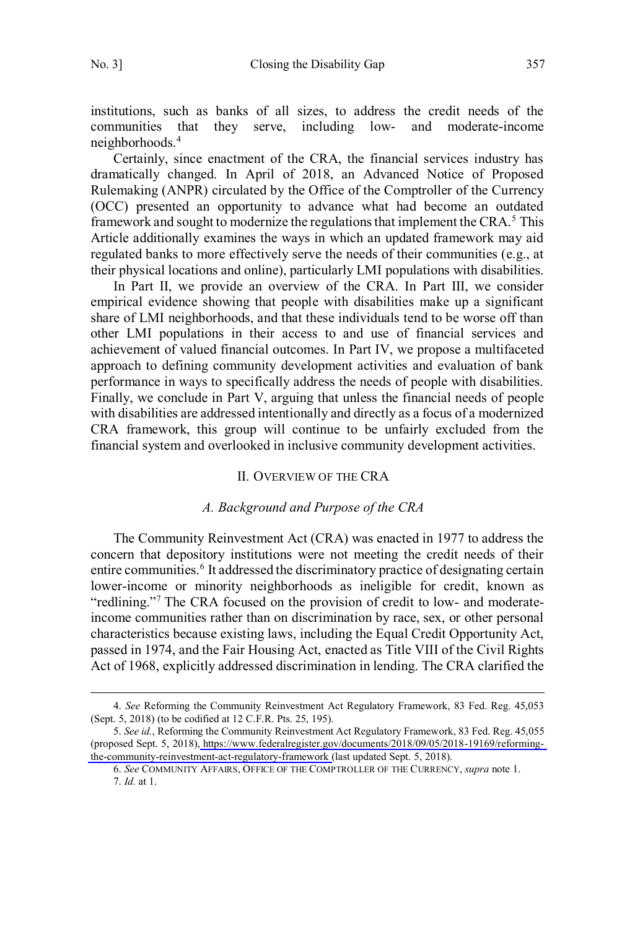$\overline{a}$ 

<span id="page-2-0"></span>institutions, such as banks of all sizes, to address the credit needs of the communities that they serve, including low- and moderate-income neighborhoods.<sup>4</sup>

Certainly, since enactment of the CRA, the financial services industry has dramatically changed. In April of 2018, an Advanced Notice of Proposed Rulemaking (ANPR) circulated by the Office of the Comptroller of the Currency (OCC) presented an opportunity to advance what had become an outdated framework and sought to modernize the regulations that implement the CRA.<sup>5</sup> This Article additionally examines the ways in which an updated framework may aid regulated banks to more effectively serve the needs of their communities (e.g., at their physical locations and online), particularly LMI populations with disabilities.

In Part II, we provide an overview of the CRA. In Part III, we consider empirical evidence showing that people with disabilities make up a significant share of LMI neighborhoods, and that these individuals tend to be worse off than other LMI populations in their access to and use of financial services and achievement of valued financial outcomes. In Part IV, we propose a multifaceted approach to defining community development activities and evaluation of bank performance in ways to specifically address the needs of people with disabilities. Finally, we conclude in Part V, arguing that unless the financial needs of people with disabilities are addressed intentionally and directly as a focus of a modernized CRA framework, this group will continue to be unfairly excluded from the financial system and overlooked in inclusive community development activities.

#### II. OVERVIEW OF THE CRA

#### *A. Background and Purpose of the CRA*

The Community Reinvestment Act (CRA) was enacted in 1977 to address the concern that depository institutions were not meeting the credit needs of their entire communities.<sup>6</sup> It addressed the discriminatory practice of designating certain lower-income or minority neighborhoods as ineligible for credit, known as "redlining."<sup>7</sup> The CRA focused on the provision of credit to low- and moderateincome communities rather than on discrimination by race, sex, or other personal characteristics because existing laws, including the Equal Credit Opportunity Act, passed in 1974, and the Fair Housing Act, enacted as Title VIII of the Civil Rights Act of 1968, explicitly addressed discrimination in lending. The CRA clarified the

<sup>4.</sup> *See* Reforming the Community Reinvestment Act Regulatory Framework, 83 Fed. Reg. 45,053 (Sept. 5, 2018) (to be codified at 12 C.F.R. Pts. 25, 195).

<sup>5.</sup> See id., Reforming the Community Reinvestment Act Regulatory Framework, 83 Fed. Reg. 45,055 (proposed Sept. 5, 2018), [https://www.federalregister.gov/documents/2018/09/05/2018-19169/reforming](https://www.federalregister.gov/documents/2018/09/05/2018-19169/reforming-the-community-reinvestment-act-regulatory-framework)[the-community-reinvestment-act-regulatory-framework](https://www.federalregister.gov/documents/2018/09/05/2018-19169/reforming-the-community-reinvestment-act-regulatory-framework) (last updated Sept. 5, 2018).

<sup>6.</sup> *See* COMMUNITY AFFAIRS, OFFICE OF THE COMPTROLLER OF THE CURRENCY, *supra* note 1. 7. *Id.* at 1.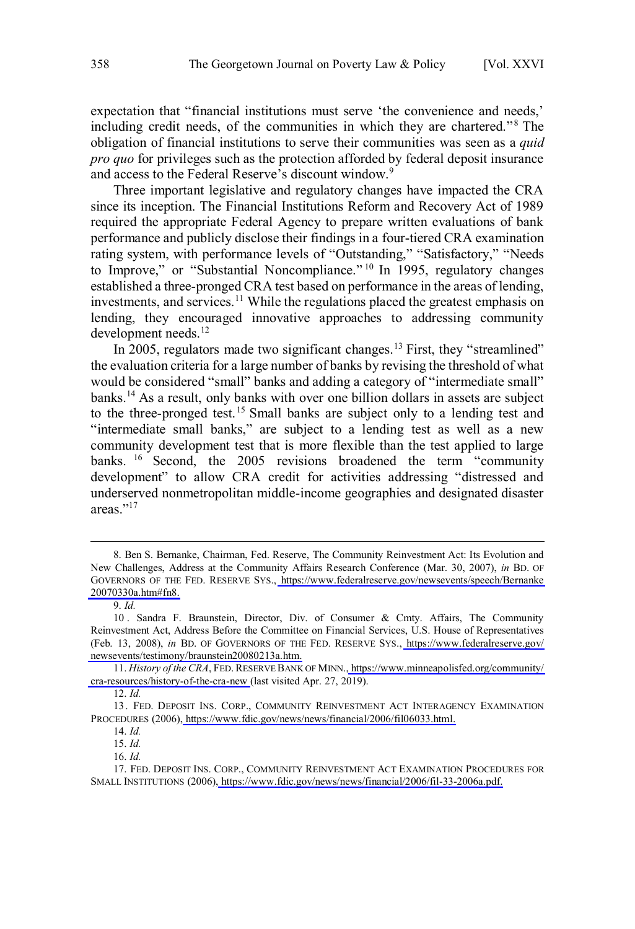expectation that "financial institutions must serve 'the convenience and needs,' including credit needs, of the communities in which they are chartered."<sup>8</sup> The obligation of financial institutions to serve their communities was seen as a *quid pro quo* for privileges such as the protection afforded by federal deposit insurance and access to the Federal Reserve's discount window.<sup>9</sup>

Three important legislative and regulatory changes have impacted the CRA since its inception. The Financial Institutions Reform and Recovery Act of 1989 required the appropriate Federal Agency to prepare written evaluations of bank performance and publicly disclose their findings in a four-tiered CRA examination rating system, with performance levels of "Outstanding," "Satisfactory," "Needs to Improve," or "Substantial Noncompliance."<sup>10</sup> In 1995, regulatory changes established a three-pronged CRA test based on performance in the areas of lending, investments, and services.<sup>11</sup> While the regulations placed the greatest emphasis on lending, they encouraged innovative approaches to addressing community development needs.<sup>12</sup>

In 2005, regulators made two significant changes.<sup>13</sup> First, they "streamlined" the evaluation criteria for a large number of banks by revising the threshold of what would be considered "small" banks and adding a category of "intermediate small" banks.<sup>14</sup> As a result, only banks with over one billion dollars in assets are subject to the three-pronged test.<sup>15</sup> Small banks are subject only to a lending test and "intermediate small banks," are subject to a lending test as well as a new community development test that is more flexible than the test applied to large banks. <sup>16</sup> Second, the 2005 revisions broadened the term "community development" to allow CRA credit for activities addressing "distressed and underserved nonmetropolitan middle-income geographies and designated disaster areas<sup>"17</sup>

<sup>8.</sup> Ben S. Bernanke, Chairman, Fed. Reserve, The Community Reinvestment Act: Its Evolution and New Challenges, Address at the Community Affairs Research Conference (Mar. 30, 2007), *in* BD. OF GOVERNORS OF THE FED. RESERVE SYS., [https://www.federalreserve.gov/newsevents/speech/Bernanke](https://www.federalreserve.gov/newsevents/speech/Bernanke20070330a.htm#fn8) [20070330a.htm#fn8.](https://www.federalreserve.gov/newsevents/speech/Bernanke20070330a.htm#fn8)

<sup>9.</sup> *Id.*

<sup>10.</sup> Sandra F. Braunstein, Director, Div. of Consumer & Cmty. Affairs, The Community Reinvestment Act, Address Before the Committee on Financial Services, U.S. House of Representatives (Feb. 13, 2008), *in* BD. OF GOVERNORS OF THE FED. RESERVE SYS., [https://www.federalreserve.gov/](https://www.federalreserve.gov/newsevents/testimony/braunstein20080213a.htm) [newsevents/testimony/braunstein20080213a.htm.](https://www.federalreserve.gov/newsevents/testimony/braunstein20080213a.htm)

<sup>11.</sup> *History of the CRA*, FED. RESERVE BANK OF MINN.[, https://www.minneapolisfed.org/community/](https://www.minneapolisfed.org/community/cra-resources/history-of-the-cra-new) [cra-resources/history-of-the-cra-new](https://www.minneapolisfed.org/community/cra-resources/history-of-the-cra-new) (last visited Apr. 27, 2019).

<sup>12.</sup> *Id.*

<sup>13.</sup> FED. DEPOSIT INS. CORP., COMMUNITY REINVESTMENT ACT INTERAGENCY EXAMINATION PROCEDURES (2006)[, https://www.fdic.gov/news/news/financial/2006/fil06033.html.](https://www.fdic.gov/news/news/financial/2006/fil06033.html)

<sup>14.</sup> *Id.*

<sup>15.</sup> *Id.*

<sup>16.</sup> *Id.*

<sup>17.</sup> FED. DEPOSIT INS. CORP., COMMUNITY REINVESTMENT ACT EXAMINATION PROCEDURES FOR SMALL INSTITUTIONS (2006)[, https://www.fdic.gov/news/news/financial/2006/fil-33-2006a.pdf.](https://www.fdic.gov/news/news/financial/2006/fil-33-2006a.pdf)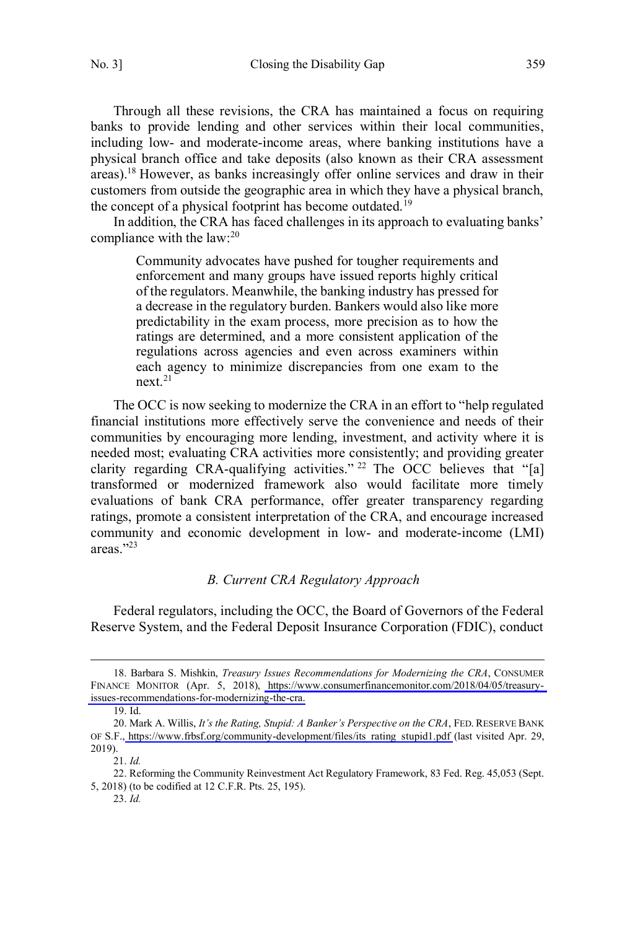<span id="page-4-0"></span>

Through all these revisions, the CRA has maintained a focus on requiring banks to provide lending and other services within their local communities, including low- and moderate-income areas, where banking institutions have a physical branch office and take deposits (also known as their CRA assessment areas).<sup>18</sup> However, as banks increasingly offer online services and draw in their customers from outside the geographic area in which they have a physical branch, the concept of a physical footprint has become outdated.<sup>19</sup>

In addition, the CRA has faced challenges in its approach to evaluating banks' compliance with the law:<sup>20</sup>

Community advocates have pushed for tougher requirements and enforcement and many groups have issued reports highly critical of the regulators. Meanwhile, the banking industry has pressed for a decrease in the regulatory burden. Bankers would also like more predictability in the exam process, more precision as to how the ratings are determined, and a more consistent application of the regulations across agencies and even across examiners within each agency to minimize discrepancies from one exam to the next.<sup>21</sup>

The OCC is now seeking to modernize the CRA in an effort to "help regulated financial institutions more effectively serve the convenience and needs of their communities by encouraging more lending, investment, and activity where it is needed most; evaluating CRA activities more consistently; and providing greater clarity regarding CRA-qualifying activities." <sup>22</sup> The OCC believes that "[a] transformed or modernized framework also would facilitate more timely evaluations of bank CRA performance, offer greater transparency regarding ratings, promote a consistent interpretation of the CRA, and encourage increased community and economic development in low- and moderate-income (LMI) areas<sup>"23</sup>

#### *B. Current CRA Regulatory Approach*

Federal regulators, including the OCC, the Board of Governors of the Federal Reserve System, and the Federal Deposit Insurance Corporation (FDIC), conduct

<sup>18.</sup> Barbara S. Mishkin, *Treasury Issues Recommendations for Modernizing the CRA*, CONSUMER FINANCE MONITOR (Apr. 5, 2018), [https://www.consumerfinancemonitor.com/2018/04/05/treasury](https://www.consumerfinancemonitor.com/2018/04/05/treasury-issues-recommendations-for-modernizing-the-cra)[issues-recommendations-for-modernizing-the-cra.](https://www.consumerfinancemonitor.com/2018/04/05/treasury-issues-recommendations-for-modernizing-the-cra)

<sup>19.</sup> Id.

<sup>20.</sup> Mark A. Willis, *It's the Rating, Stupid: A Banker's Perspective on the CRA*, FED. RESERVE BANK OF S.F., [https://www.frbsf.org/community-development/files/its\\_rating\\_stupid1.pdf](https://www.frbsf.org/community-development/files/its_rating_stupid1.pdf) (last visited Apr. 29, 2019).

<sup>21.</sup> *Id.*

<sup>22.</sup> Reforming the Community Reinvestment Act Regulatory Framework, 83 Fed. Reg. 45,053 (Sept. 5, 2018) (to be codified at 12 C.F.R. Pts. 25, 195).

<sup>23.</sup> *Id.*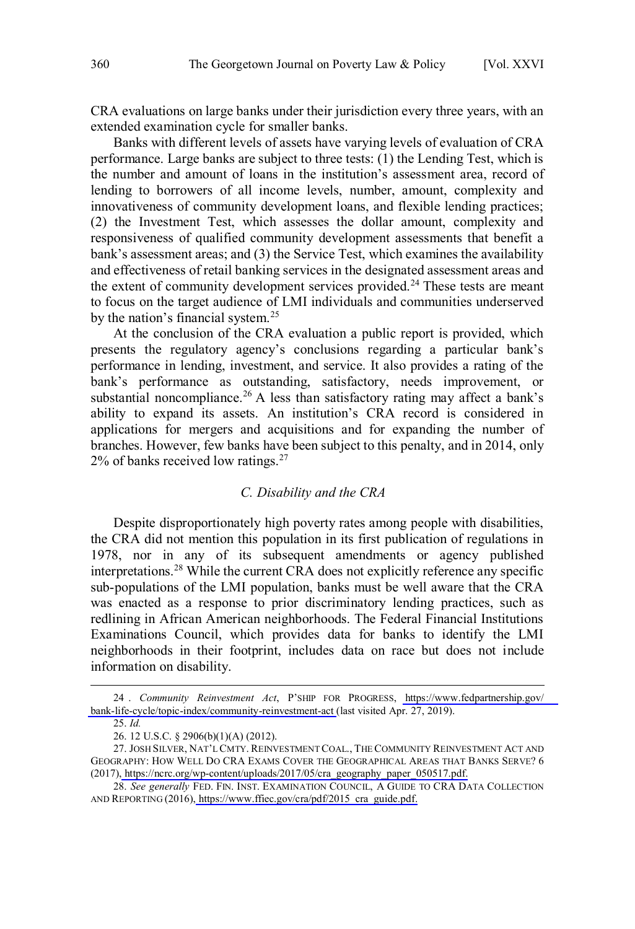<span id="page-5-0"></span>CRA evaluations on large banks under their jurisdiction every three years, with an extended examination cycle for smaller banks.

Banks with different levels of assets have varying levels of evaluation of CRA performance. Large banks are subject to three tests: (1) the Lending Test, which is the number and amount of loans in the institution's assessment area, record of lending to borrowers of all income levels, number, amount, complexity and innovativeness of community development loans, and flexible lending practices; (2) the Investment Test, which assesses the dollar amount, complexity and responsiveness of qualified community development assessments that benefit a bank's assessment areas; and (3) the Service Test, which examines the availability and effectiveness of retail banking services in the designated assessment areas and the extent of community development services provided.<sup>24</sup> These tests are meant to focus on the target audience of LMI individuals and communities underserved by the nation's financial system.<sup>25</sup>

At the conclusion of the CRA evaluation a public report is provided, which presents the regulatory agency's conclusions regarding a particular bank's performance in lending, investment, and service. It also provides a rating of the bank's performance as outstanding, satisfactory, needs improvement, or substantial noncompliance.<sup>26</sup> A less than satisfactory rating may affect a bank's ability to expand its assets. An institution's CRA record is considered in applications for mergers and acquisitions and for expanding the number of branches. However, few banks have been subject to this penalty, and in 2014, only 2% of banks received low ratings.<sup>27</sup>

#### *C. Disability and the CRA*

Despite disproportionately high poverty rates among people with disabilities, the CRA did not mention this population in its first publication of regulations in 1978, nor in any of its subsequent amendments or agency published interpretations.<sup>28</sup> While the current CRA does not explicitly reference any specific sub-populations of the LMI population, banks must be well aware that the CRA was enacted as a response to prior discriminatory lending practices, such as redlining in African American neighborhoods. The Federal Financial Institutions Examinations Council, which provides data for banks to identify the LMI neighborhoods in their footprint, includes data on race but does not include information on disability.

*Community Reinvestment Act*, P'SHIP FOR PROGRESS, [https://www.fedpartnership.gov/](https://www.fedpartnership.gov/bank-life-cycle/topic-index/community-reinvestment-act) 24 . [bank-life-cycle/topic-index/community-reinvestment-act](https://www.fedpartnership.gov/bank-life-cycle/topic-index/community-reinvestment-act) (last visited Apr. 27, 2019).

<sup>25.</sup> *Id.*

<sup>26.</sup> 12 U.S.C. § 2906(b)(1)(A) (2012).

<sup>27.</sup> JOSH SILVER, NAT'L CMTY. REINVESTMENT COAL., THE COMMUNITY REINVESTMENT ACT AND GEOGRAPHY: HOW WELL DO CRA EXAMS COVER THE GEOGRAPHICAL AREAS THAT BANKS SERVE? 6 (2017), [https://ncrc.org/wp-content/uploads/2017/05/cra\\_geography\\_paper\\_050517.pdf.](https://ncrc.org/wp-content/uploads/2017/05/cra_geography_paper_050517.pdf)

<sup>28.</sup> See generally FED. FIN. INST. EXAMINATION COUNCIL, A GUIDE TO CRA DATA COLLECTION AND REPORTING (2016), [https://www.ffiec.gov/cra/pdf/2015\\_cra\\_guide.pdf.](https://www.ffiec.gov/cra/pdf/2015_cra_guide.pdf)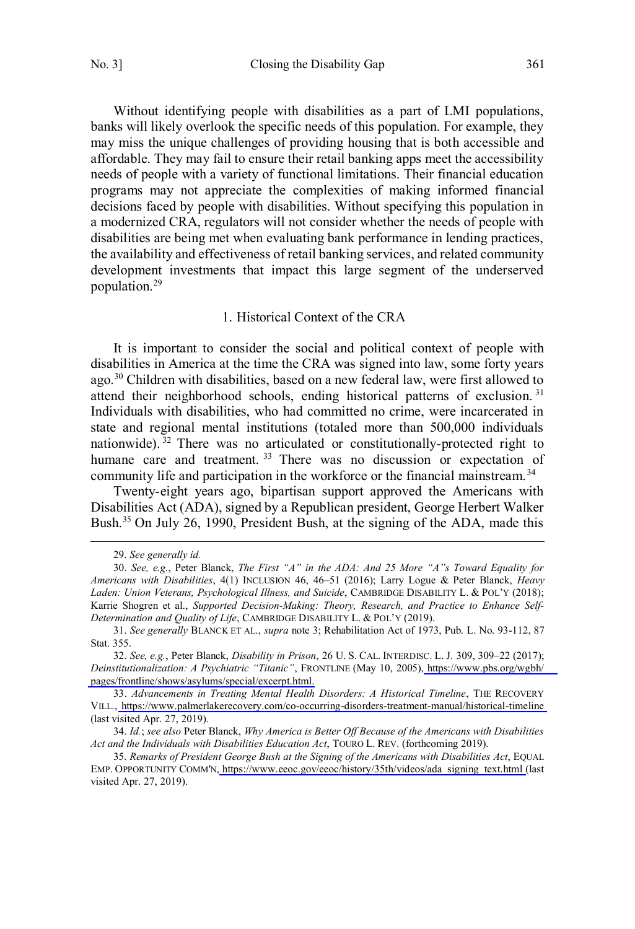<span id="page-6-0"></span>Without identifying people with disabilities as a part of LMI populations, banks will likely overlook the specific needs of this population. For example, they may miss the unique challenges of providing housing that is both accessible and affordable. They may fail to ensure their retail banking apps meet the accessibility needs of people with a variety of functional limitations. Their financial education programs may not appreciate the complexities of making informed financial decisions faced by people with disabilities. Without specifying this population in a modernized CRA, regulators will not consider whether the needs of people with disabilities are being met when evaluating bank performance in lending practices, the availability and effectiveness of retail banking services, and related community development investments that impact this large segment of the underserved population.<sup>29</sup>

#### 1. Historical Context of the CRA

It is important to consider the social and political context of people with disabilities in America at the time the CRA was signed into law, some forty years ago.<sup>30</sup> Children with disabilities, based on a new federal law, were first allowed to attend their neighborhood schools, ending historical patterns of exclusion.<sup>31</sup> Individuals with disabilities, who had committed no crime, were incarcerated in state and regional mental institutions (totaled more than 500,000 individuals nationwide).<sup>32</sup> There was no articulated or constitutionally-protected right to humane care and treatment.<sup>33</sup> There was no discussion or expectation of community life and participation in the workforce or the financial mainstream.<sup>34</sup>

Twenty-eight years ago, bipartisan support approved the Americans with Disabilities Act (ADA), signed by a Republican president, George Herbert Walker Bush.<sup>35</sup> On July 26, 1990, President Bush, at the signing of the ADA, made this

<sup>29.</sup> *See generally id.*

<sup>30.</sup> *See, e.g.*, Peter Blanck, *The First "A" in the ADA: And 25 More "A"s Toward Equality for Americans with Disabilities*, 4(1) INCLUSION 46, 46–51 (2016); Larry Logue & Peter Blanck, *Heavy Laden: Union Veterans, Psychological Illness, and Suicide*, CAMBRIDGE DISABILITY L. & POL'Y (2018); Karrie Shogren et al., *Supported Decision-Making: Theory, Research, and Practice to Enhance Self-Determination and Quality of Life*, CAMBRIDGE DISABILITY L. & POL'Y (2019).

<sup>31.</sup> *See generally* BLANCK ET AL., *supra* note 3; Rehabilitation Act of 1973, Pub. L. No. 93-112, 87 Stat. 355.

*See, e.g.*, Peter Blanck, *Disability in Prison*, 26 U. S. CAL. INTERDISC. L. J. 309, 309–22 (2017); 32. *Deinstitutionalization: A Psychiatric "Titanic"*, FRONTLINE (May 10, 2005), [https://www.pbs.org/wgbh/](https://www.pbs.org/wgbh/pages/frontline/shows/asylums/special/excerpt.html) [pages/frontline/shows/asylums/special/excerpt.html.](https://www.pbs.org/wgbh/pages/frontline/shows/asylums/special/excerpt.html)

*Advancements in Treating Mental Health Disorders: A Historical Timeline*, THE RECOVERY 33. VILL.,<https://www.palmerlakerecovery.com/co-occurring-disorders-treatment-manual/historical-timeline> (last visited Apr. 27, 2019).

<sup>34.</sup> *Id.*; *see also* Peter Blanck, *Why America is Better Off Because of the Americans with Disabilities Act and the Individuals with Disabilities Education Act*, TOURO L. REV. (forthcoming 2019).

*Remarks of President George Bush at the Signing of the Americans with Disabilities Act*, EQUAL 35.EMP. OPPORTUNITY COMM'N[, https://www.eeoc.gov/eeoc/history/35th/videos/ada\\_signing\\_text.html](https://www.eeoc.gov/eeoc/history/35th/videos/ada_signing_text.html) (last visited Apr. 27, 2019).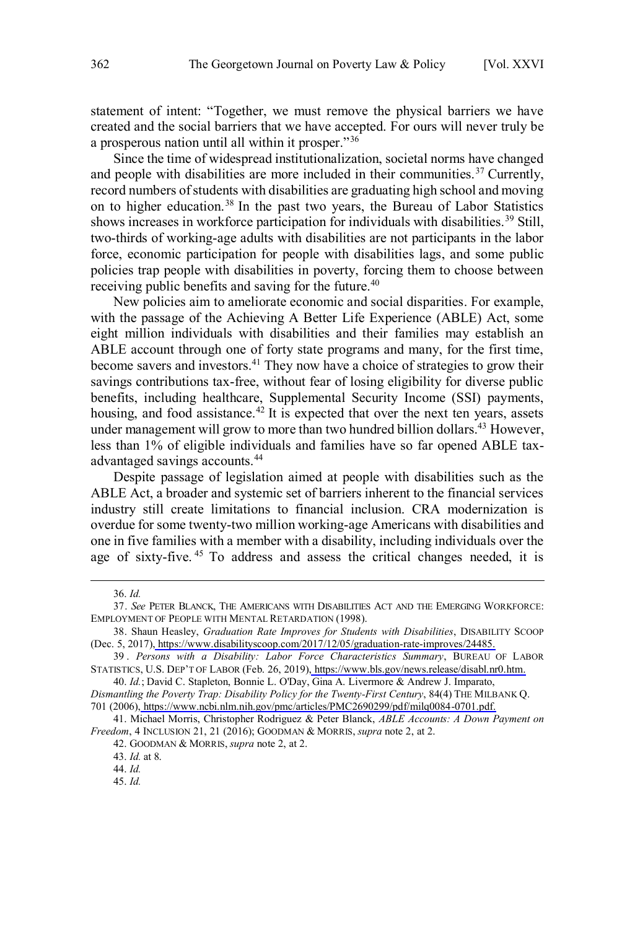statement of intent: "Together, we must remove the physical barriers we have created and the social barriers that we have accepted. For ours will never truly be a prosperous nation until all within it prosper."<sup>36</sup>

Since the time of widespread institutionalization, societal norms have changed and people with disabilities are more included in their communities.<sup>37</sup> Currently, record numbers of students with disabilities are graduating high school and moving on to higher education.<sup>38</sup> In the past two years, the Bureau of Labor Statistics shows increases in workforce participation for individuals with disabilities.<sup>39</sup> Still, two-thirds of working-age adults with disabilities are not participants in the labor force, economic participation for people with disabilities lags, and some public policies trap people with disabilities in poverty, forcing them to choose between receiving public benefits and saving for the future.<sup>40</sup>

New policies aim to ameliorate economic and social disparities. For example, with the passage of the Achieving A Better Life Experience (ABLE) Act, some eight million individuals with disabilities and their families may establish an ABLE account through one of forty state programs and many, for the first time, become savers and investors.<sup>41</sup> They now have a choice of strategies to grow their savings contributions tax-free, without fear of losing eligibility for diverse public benefits, including healthcare, Supplemental Security Income (SSI) payments, housing, and food assistance.<sup>42</sup> It is expected that over the next ten years, assets under management will grow to more than two hundred billion dollars.<sup>43</sup> However, less than 1% of eligible individuals and families have so far opened ABLE taxadvantaged savings accounts.<sup>44</sup>

Despite passage of legislation aimed at people with disabilities such as the ABLE Act, a broader and systemic set of barriers inherent to the financial services industry still create limitations to financial inclusion. CRA modernization is overdue for some twenty-two million working-age Americans with disabilities and one in five families with a member with a disability, including individuals over the age of sixty-five. <sup>45</sup> To address and assess the critical changes needed, it is

 $\overline{a}$ 

701 (2006), [https://www.ncbi.nlm.nih.gov/pmc/articles/PMC2690299/pdf/milq0084-0701.pdf.](https://www.ncbi.nlm.nih.gov/pmc/articles/PMC2690299/pdf/milq0084-0701.pdf)

<sup>36.</sup> *Id.*

<sup>37.</sup> *See* PETER BLANCK, THE AMERICANS WITH DISABILITIES ACT AND THE EMERGING WORKFORCE: EMPLOYMENT OF PEOPLE WITH MENTAL RETARDATION (1998).

Shaun Heasley, *Graduation Rate Improves for Students with Disabilities*, DISABILITY SCOOP 38. (Dec. 5, 2017)[, https://www.disabilityscoop.com/2017/12/05/graduation-rate-improves/24485.](https://www.disabilityscoop.com/2017/12/05/graduation-rate-improves/24485)

*Persons with a Disability: Labor Force Characteristics Summary*, BUREAU OF LABOR 39 . STATISTICS, U.S. DEP'T OF LABOR (Feb. 26, 2019)[, https://www.bls.gov/news.release/disabl.nr0.htm.](https://www.bls.gov/news.release/disabl.nr0.htm)

<sup>40.</sup> Id.; David C. Stapleton, Bonnie L. O'Day, Gina A. Livermore & Andrew J. Imparato,

*Dismantling the Poverty Trap: Disability Policy for the Twenty-First Century*, 84(4) THE MILBANK Q.

<sup>41.</sup> Michael Morris, Christopher Rodriguez & Peter Blanck, *ABLE Accounts: A Down Payment on Freedom*, 4 INCLUSION 21, 21 (2016); GOODMAN & MORRIS, *supra* note 2, at 2.

<sup>42.</sup> GOODMAN & MORRIS, *supra* note 2, at 2.

<sup>43.</sup> *Id.* at 8.

<sup>44.</sup> *Id.*

<sup>45.</sup> *Id.*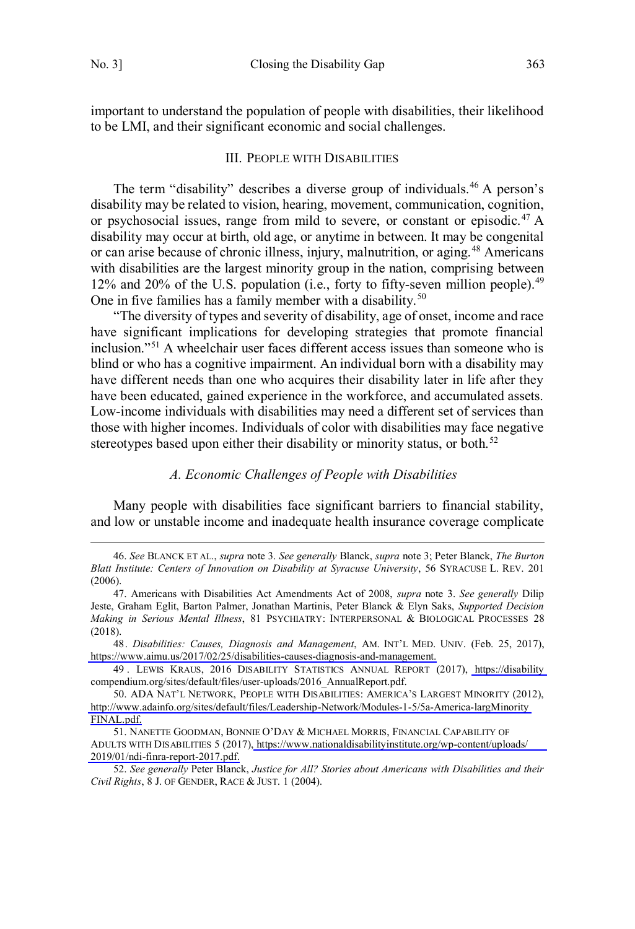$\overline{a}$ 

<span id="page-8-0"></span>important to understand the population of people with disabilities, their likelihood to be LMI, and their significant economic and social challenges.

#### III. PEOPLE WITH DISABILITIES

The term "disability" describes a diverse group of individuals.<sup>46</sup> A person's disability may be related to vision, hearing, movement, communication, cognition, or psychosocial issues, range from mild to severe, or constant or episodic.<sup>47</sup> A disability may occur at birth, old age, or anytime in between. It may be congenital or can arise because of chronic illness, injury, malnutrition, or aging.<sup>48</sup> Americans with disabilities are the largest minority group in the nation, comprising between 12% and 20% of the U.S. population (i.e., forty to fifty-seven million people).<sup>49</sup> One in five families has a family member with a disability.<sup>50</sup>

"The diversity of types and severity of disability, age of onset, income and race have significant implications for developing strategies that promote financial inclusion."<sup>51</sup> A wheelchair user faces different access issues than someone who is blind or who has a cognitive impairment. An individual born with a disability may have different needs than one who acquires their disability later in life after they have been educated, gained experience in the workforce, and accumulated assets. Low-income individuals with disabilities may need a different set of services than those with higher incomes. Individuals of color with disabilities may face negative stereotypes based upon either their disability or minority status, or both.<sup>52</sup>

#### *A. Economic Challenges of People with Disabilities*

Many people with disabilities face significant barriers to financial stability, and low or unstable income and inadequate health insurance coverage complicate

<sup>46.</sup> *See* BLANCK ET AL., *supra* note 3. *See generally* Blanck, *supra* note 3; Peter Blanck, *The Burton Blatt Institute: Centers of Innovation on Disability at Syracuse University*, 56 SYRACUSE L. REV. 201 (2006).

<sup>47.</sup> Americans with Disabilities Act Amendments Act of 2008, *supra* note 3. *See generally* Dilip Jeste, Graham Eglit, Barton Palmer, Jonathan Martinis, Peter Blanck & Elyn Saks, *Supported Decision Making in Serious Mental Illness*, 81 PSYCHIATRY: INTERPERSONAL & BIOLOGICAL PROCESSES 28 (2018).

*Disabilities: Causes, Diagnosis and Management*, AM. INT'L MED. UNIV. (Feb. 25, 2017), 48. [https://www.aimu.us/2017/02/25/disabilities-causes-diagnosis-and-management.](https://www.aimu.us/2017/02/25/disabilities-causes-diagnosis-and-management)

<sup>49 .</sup> LEWIS KRAUS, 2016 DISABILITY STATISTICS ANNUAL REPORT (2017), [https://disability](https://disabilitycompendium.org/sites/default/files/user-uploads/2016_AnnualReport.pdf) compendium.org/sites/default/files/user-uploads/2016\_AnnualReport.pdf.

ADA NAT'L NETWORK, PEOPLE WITH DISABILITIES: AMERICA'S LARGEST MINORITY (2012), 50. [http://www.adainfo.org/sites/default/files/Leadership-Network/Modules-1-5/5a-America-largMinority](http://www.adainfo.org/sites/default/files/Leadership-Network/Modules-1-5/5a-America-largMinorityFINAL.pdf) [FINAL.pdf.](http://www.adainfo.org/sites/default/files/Leadership-Network/Modules-1-5/5a-America-largMinorityFINAL.pdf)

<sup>51.</sup> NANETTE GOODMAN, BONNIE O'DAY & MICHAEL MORRIS, FINANCIAL CAPABILITY OF ADULTS WITH DISABILITIES 5 (2017)[, https://www.nationaldisabilityinstitute.org/wp-content/uploads/](https://www.nationaldisabilityinstitute.org/wp-content/uploads/2019/01/ndi-finra-report-2017.pdf) [2019/01/ndi-finra-report-2017.pdf.](https://www.nationaldisabilityinstitute.org/wp-content/uploads/2019/01/ndi-finra-report-2017.pdf)

<sup>52.</sup> *See generally* Peter Blanck, *Justice for All? Stories about Americans with Disabilities and their Civil Rights*, 8 J. OF GENDER, RACE & JUST. 1 (2004).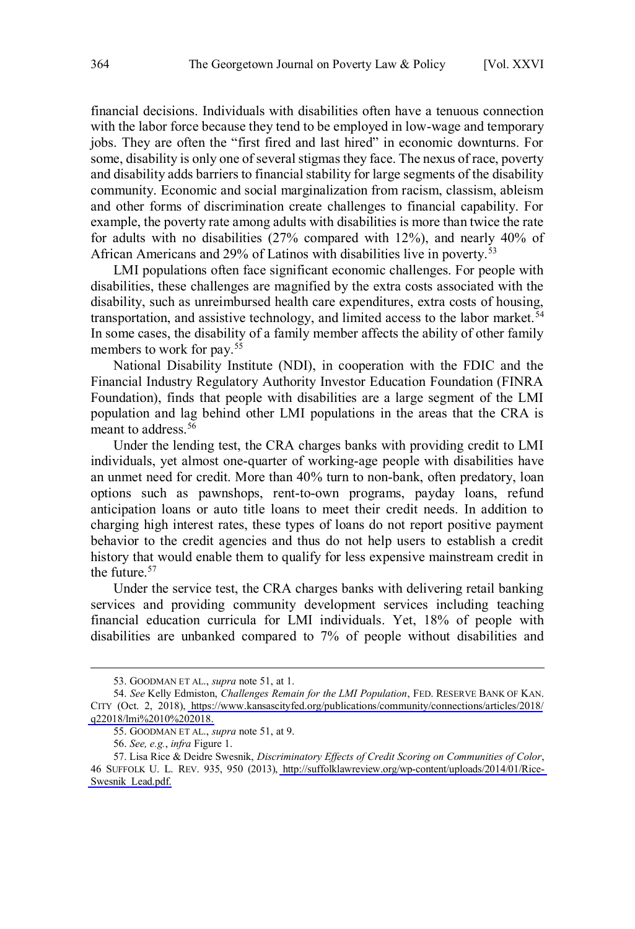financial decisions. Individuals with disabilities often have a tenuous connection with the labor force because they tend to be employed in low-wage and temporary jobs. They are often the "first fired and last hired" in economic downturns. For some, disability is only one of several stigmas they face. The nexus of race, poverty and disability adds barriers to financial stability for large segments of the disability community. Economic and social marginalization from racism, classism, ableism and other forms of discrimination create challenges to financial capability. For example, the poverty rate among adults with disabilities is more than twice the rate for adults with no disabilities (27% compared with 12%), and nearly 40% of African Americans and 29% of Latinos with disabilities live in poverty.<sup>53</sup>

LMI populations often face significant economic challenges. For people with disabilities, these challenges are magnified by the extra costs associated with the disability, such as unreimbursed health care expenditures, extra costs of housing, transportation, and assistive technology, and limited access to the labor market.<sup>54</sup> In some cases, the disability of a family member affects the ability of other family members to work for pay.<sup>55</sup>

National Disability Institute (NDI), in cooperation with the FDIC and the Financial Industry Regulatory Authority Investor Education Foundation (FINRA Foundation), finds that people with disabilities are a large segment of the LMI population and lag behind other LMI populations in the areas that the CRA is meant to address.<sup>56</sup>

Under the lending test, the CRA charges banks with providing credit to LMI individuals, yet almost one-quarter of working-age people with disabilities have an unmet need for credit. More than 40% turn to non-bank, often predatory, loan options such as pawnshops, rent-to-own programs, payday loans, refund anticipation loans or auto title loans to meet their credit needs. In addition to charging high interest rates, these types of loans do not report positive payment behavior to the credit agencies and thus do not help users to establish a credit history that would enable them to qualify for less expensive mainstream credit in the future.<sup>57</sup>

Under the service test, the CRA charges banks with delivering retail banking services and providing community development services including teaching financial education curricula for LMI individuals. Yet, 18% of people with disabilities are unbanked compared to 7% of people without disabilities and

<sup>53.</sup> GOODMAN ET AL., *supra* note 51, at 1.

*See* Kelly Edmiston, *Challenges Remain for the LMI Population*, FED. RESERVE BANK OF KAN. 54. CITY (Oct. 2, 2018), [https://www.kansascityfed.org/publications/community/connections/articles/2018/](https://www.kansascityfed.org/publications/community/connections/articles/2018/q22018/lmi%2010%202018) [q22018/lmi%2010%202018.](https://www.kansascityfed.org/publications/community/connections/articles/2018/q22018/lmi%2010%202018)

<sup>55.</sup> GOODMAN ET AL., *supra* note 51, at 9.

<sup>56.</sup> *See, e.g.*, *infra* Figure 1.

<sup>57.</sup> Lisa Rice & Deidre Swesnik, Discriminatory Effects of Credit Scoring on Communities of Color, 46 SUFFOLK U. L. REV. 935, 950 (2013), [http://suffolklawreview.org/wp-content/uploads/2014/01/Rice-](http://suffolklawreview.org/wp-content/uploads/2014/01/Rice-Swesnik_Lead.pdf)[Swesnik\\_Lead.pdf.](http://suffolklawreview.org/wp-content/uploads/2014/01/Rice-Swesnik_Lead.pdf)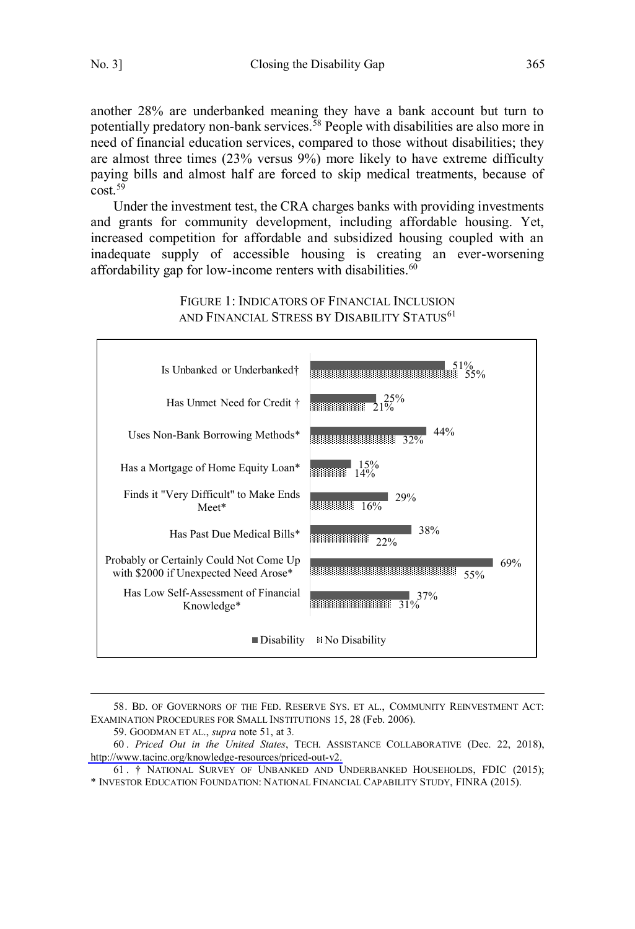another 28% are underbanked meaning they have a bank account but turn to potentially predatory non-bank services.<sup>58</sup> People with disabilities are also more in need of financial education services, compared to those without disabilities; they are almost three times (23% versus 9%) more likely to have extreme difficulty paying bills and almost half are forced to skip medical treatments, because of  $cost<sup>59</sup>$ 

Under the investment test, the CRA charges banks with providing investments and grants for community development, including affordable housing. Yet, increased competition for affordable and subsidized housing coupled with an inadequate supply of accessible housing is creating an ever-worsening affordability gap for low-income renters with disabilities. 60



FIGURE 1: INDICATORS OF FINANCIAL INCLUSION AND FINANCIAL STRESS BY DISABILITY STATUS<sup>61</sup>

 $\overline{a}$ 58. BD. OF GOVERNORS OF THE FED. RESERVE SYS. ET AL., COMMUNITY REINVESTMENT ACT: EXAMINATION PROCEDURES FOR SMALL INSTITUTIONS 15, 28 (Feb. 2006).

59. GOODMAN ET AL., *supra* note 51, at 3*.*

*Priced Out in the United States*, TECH. ASSISTANCE COLLABORATIVE (Dec. 22, 2018), 60 . [http://www.tacinc.org/knowledge-resources/priced-out-v2.](http://www.tacinc.org/knowledge-resources/priced-out-v2/)

61 . † NATIONAL SURVEY OF UNBANKED AND UNDERBANKED HOUSEHOLDS, FDIC (2015); \* INVESTOR EDUCATION FOUNDATION: NATIONAL FINANCIAL CAPABILITY STUDY, FINRA (2015).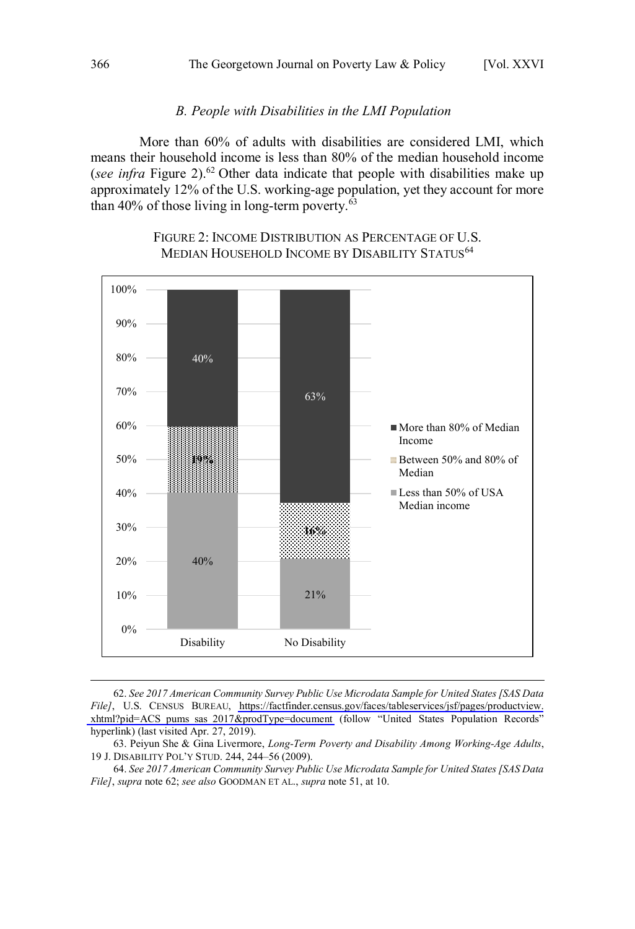#### *B. People with Disabilities in the LMI Population*

<span id="page-11-0"></span>More than 60% of adults with disabilities are considered LMI, which means their household income is less than 80% of the median household income (*see infra* Figure 2).<sup>62</sup> Other data indicate that people with disabilities make up approximately 12% of the U.S. working-age population, yet they account for more than  $40\%$  of those living in long-term poverty.<sup>63</sup>



#### FIGURE 2: INCOME DISTRIBUTION AS PERCENTAGE OF U.S. MEDIAN HOUSEHOLD INCOME BY DISABILITY STATUS<sup>64</sup>

*See 2017 American Community Survey Public Use Microdata Sample for United States [SAS Data*  62. *File]*, U.S. CENSUS BUREAU, [https://factfinder.census.gov/faces/tableservices/jsf/pages/productview.](https://factfinder.census.gov/faces/tableservices/jsf/pages/productview.xhtml?pid=ACS_pums_sas_2017&prodType=document) [xhtml?pid=ACS\\_pums\\_sas\\_2017&prodType=document](https://factfinder.census.gov/faces/tableservices/jsf/pages/productview.xhtml?pid=ACS_pums_sas_2017&prodType=document) (follow "United States Population Records" hyperlink) (last visited Apr. 27, 2019).

<sup>63.</sup> Peiyun She & Gina Livermore, *Long-Term Poverty and Disability Among Working-Age Adults*, 19 J. DISABILITY POL'Y STUD. 244, 244–56 (2009).

<sup>64.</sup> *See 2017 American Community Survey Public Use Microdata Sample for United States [SAS Data File]*, *supra* note 62; *see also* GOODMAN ET AL., *supra* note 51, at 10.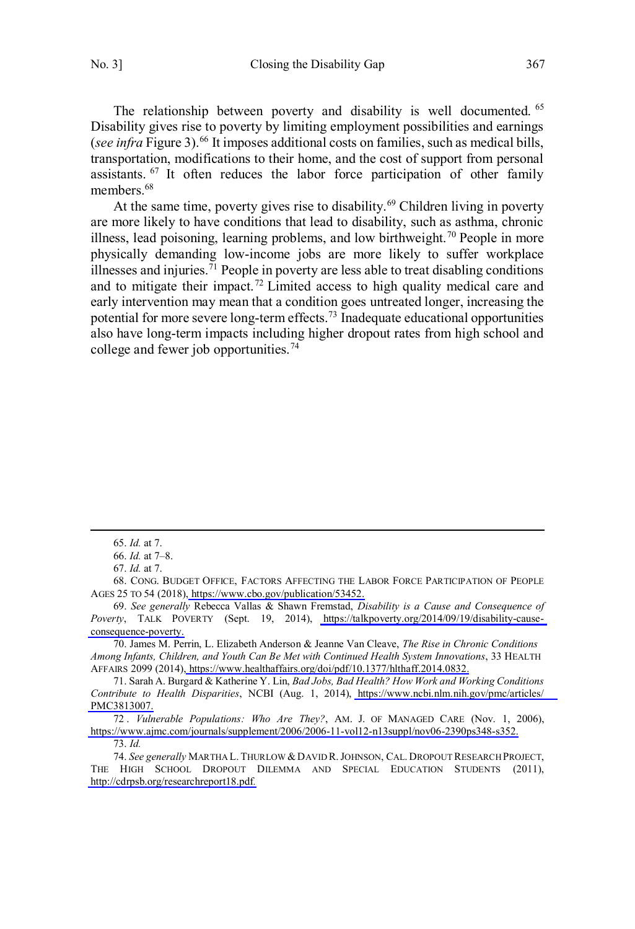The relationship between poverty and disability is well documented. <sup>65</sup> Disability gives rise to poverty by limiting employment possibilities and earnings (*see infra* Figure 3).<sup>66</sup> It imposes additional costs on families, such as medical bills, transportation, modifications to their home, and the cost of support from personal assistants. <sup>67</sup> It often reduces the labor force participation of other family members.<sup>68</sup>

At the same time, poverty gives rise to disability.<sup>69</sup> Children living in poverty are more likely to have conditions that lead to disability, such as asthma, chronic illness, lead poisoning, learning problems, and low birthweight.<sup>70</sup> People in more physically demanding low-income jobs are more likely to suffer workplace illnesses and injuries.<sup>71</sup> People in poverty are less able to treat disabling conditions and to mitigate their impact.<sup>72</sup> Limited access to high quality medical care and early intervention may mean that a condition goes untreated longer, increasing the potential for more severe long-term effects.<sup>73</sup> Inadequate educational opportunities also have long-term impacts including higher dropout rates from high school and college and fewer job opportunities.<sup>74</sup>

 $\overline{a}$ 

*Vulnerable Populations: Who Are They?*, AM. J. OF MANAGED CARE (Nov. 1, 2006), 72 . [https://www.ajmc.com/journals/supplement/2006/2006-11-vol12-n13suppl/nov06-2390ps348-s352.](https://www.ajmc.com/journals/supplement/2006/2006-11-vol12-n13suppl/nov06-2390ps348-s352)

73. *Id.*

74. *See generally* MARTHA L. THURLOW & DAVID R. JOHNSON, CAL. DROPOUT RESEARCH PROJECT, THE HIGH SCHOOL DROPOUT DILEMMA AND SPECIAL EDUCATION STUDENTS (2011), <http://cdrpsb.org/researchreport18.pdf>*.*

<sup>65.</sup> *Id.* at 7.

<sup>66.</sup> *Id.* at 7–8.

<sup>67.</sup> *Id.* at 7.

<sup>68.</sup> CONG. BUDGET OFFICE, FACTORS AFFECTING THE LABOR FORCE PARTICIPATION OF PEOPLE AGES 25 TO 54 (2018), [https://www.cbo.gov/publication/53452.](https://www.cbo.gov/publication/53452)

*See generally* Rebecca Vallas & Shawn Fremstad, *Disability is a Cause and Consequence of*  69. *Poverty*, TALK POVERTY (Sept. 19, 2014), [https://talkpoverty.org/2014/09/19/disability-cause](https://talkpoverty.org/2014/09/19/disability-cause-consequence-poverty)[consequence-poverty.](https://talkpoverty.org/2014/09/19/disability-cause-consequence-poverty)

James M. Perrin, L. Elizabeth Anderson & Jeanne Van Cleave, *The Rise in Chronic Conditions*  70. *Among Infants, Children, and Youth Can Be Met with Continued Health System Innovations*, 33 HEALTH AFFAIRS 2099 (2014), [https://www.healthaffairs.org/doi/pdf/10.1377/hlthaff.2014.0832.](https://www.healthaffairs.org/doi/pdf/10.1377/hlthaff.2014.0832)

Sarah A. Burgard & Katherine Y. Lin, *Bad Jobs, Bad Health? How Work and Working Conditions*  71. *Contribute to Health Disparities*, NCBI (Aug. 1, 2014), [https://www.ncbi.nlm.nih.gov/pmc/articles/](https://www.ncbi.nlm.nih.gov/pmc/articles/PMC3813007) [PMC3813007.](https://www.ncbi.nlm.nih.gov/pmc/articles/PMC3813007)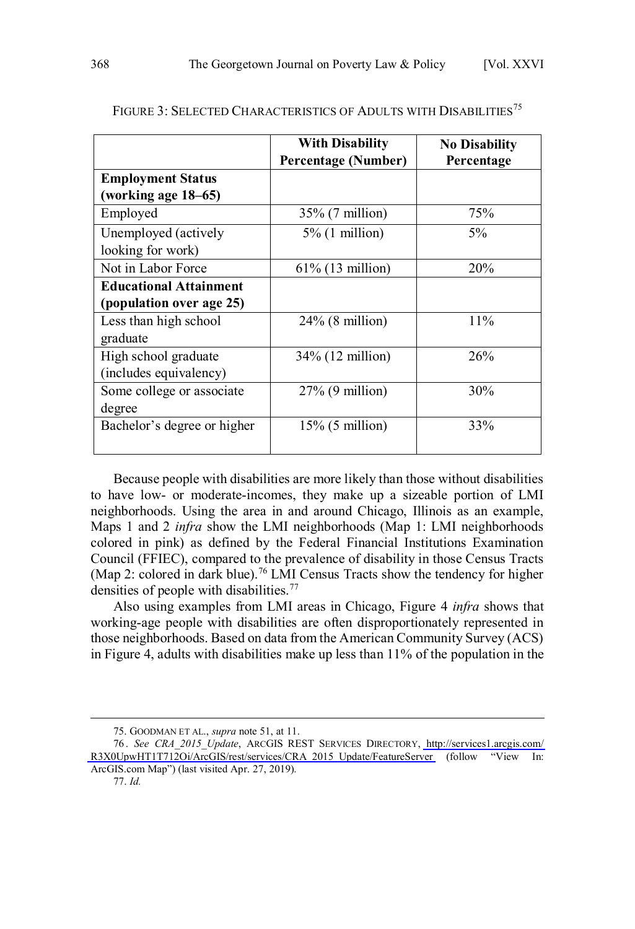|                               | <b>With Disability</b><br><b>Percentage (Number)</b> | <b>No Disability</b><br>Percentage |
|-------------------------------|------------------------------------------------------|------------------------------------|
| <b>Employment Status</b>      |                                                      |                                    |
| (working age 18-65)           |                                                      |                                    |
| Employed                      | $35\%$ (7 million)                                   | 75%                                |
| Unemployed (actively          | $5\%$ (1 million)                                    | $5\%$                              |
| looking for work)             |                                                      |                                    |
| Not in Labor Force            | $61\%$ (13 million)                                  | 20%                                |
| <b>Educational Attainment</b> |                                                      |                                    |
| (population over age 25)      |                                                      |                                    |
| Less than high school         | $24\%$ (8 million)                                   | $11\%$                             |
| graduate                      |                                                      |                                    |
| High school graduate          | 34% (12 million)                                     | 26%                                |
| (includes equivalency)        |                                                      |                                    |
| Some college or associate     | $27\%$ (9 million)                                   | 30%                                |
| degree                        |                                                      |                                    |
| Bachelor's degree or higher   | $15\%$ (5 million)                                   | 33%                                |
|                               |                                                      |                                    |

#### FIGURE 3: SELECTED CHARACTERISTICS OF ADULTS WITH DISABILITIES<sup>75</sup>

Because people with disabilities are more likely than those without disabilities to have low- or moderate-incomes, they make up a sizeable portion of LMI neighborhoods. Using the area in and around Chicago, Illinois as an example, Maps 1 and 2 *infra* show the LMI neighborhoods (Map 1: LMI neighborhoods colored in pink) as defined by the Federal Financial Institutions Examination Council (FFIEC), compared to the prevalence of disability in those Census Tracts (Map 2: colored in dark blue).<sup>76</sup> LMI Census Tracts show the tendency for higher densities of people with disabilities.<sup>77</sup>

Also using examples from LMI areas in Chicago, Figure 4 *infra* shows that working-age people with disabilities are often disproportionately represented in those neighborhoods. Based on data from the American Community Survey (ACS) in Figure 4, adults with disabilities make up less than 11% of the population in the

<sup>75.</sup> GOODMAN ET AL., *supra* note 51, at 11.

*See CRA\_2015\_Update*, ARCGIS REST SERVICES DIRECTORY, [http://services1.arcgis.com/](http://services1.arcgis.com/R3X0UpwHT1T712Oi/ArcGIS/rest/services/CRA_2015_Update/FeatureServer)  76 . [R3X0UpwHT1T712Oi/ArcGIS/rest/services/CRA\\_2015\\_Update/FeatureServer](http://services1.arcgis.com/R3X0UpwHT1T712Oi/ArcGIS/rest/services/CRA_2015_Update/FeatureServer) (follow "View In: ArcGIS.com Map") (last visited Apr. 27, 2019).

<sup>77.</sup> *Id.*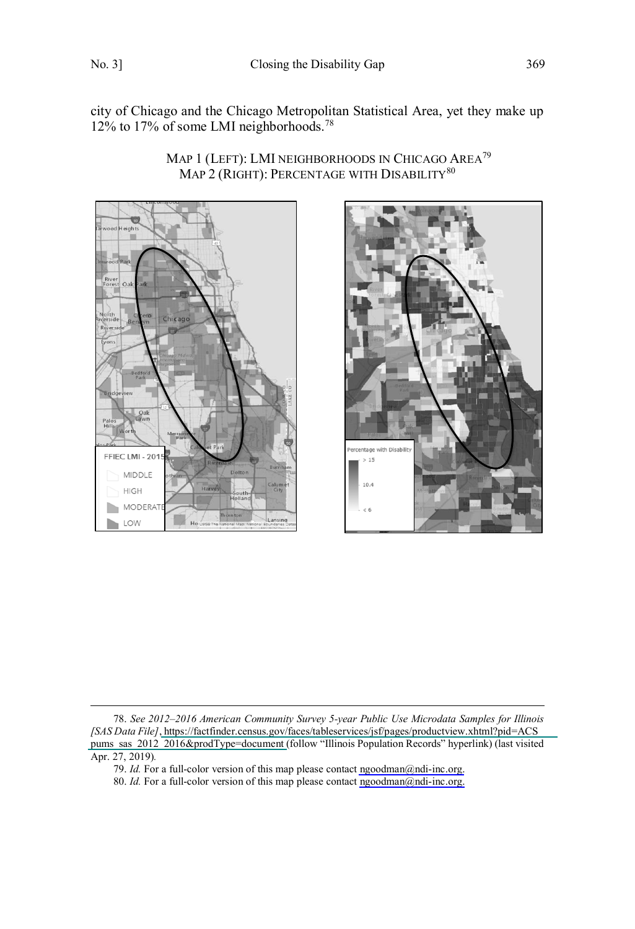$\overline{a}$ 

city of Chicago and the Chicago Metropolitan Statistical Area, yet they make up 12% to 17% of some LMI neighborhoods.<sup>78</sup>

MAP 2 (RIGHT): PERCENTAGE WITH DISABILITY<sup>80</sup>

Map 1 (Left): LMI neighborhoods in Chicago Area<sup>79</sup>





*See 2012–2016 American Community Survey 5-year Public Use Microdata Samples for Illinois*  78. *[SAS Data File]*, [https://factfinder.census.gov/faces/tableservices/jsf/pages/productview.xhtml?pid=ACS\\_](https://factfinder.census.gov/faces/tableservices/jsf/pages/productview.xhtml?pid=ACS_pums_sas_2012_2016&prodType=document)  [pums\\_sas\\_2012\\_2016&prodType=document \(](https://factfinder.census.gov/faces/tableservices/jsf/pages/productview.xhtml?pid=ACS_pums_sas_2012_2016&prodType=document)follow "Illinois Population Records" hyperlink) (last visited Apr. 27, 2019)*.* 

<sup>79.</sup> *Id.* For a full-color version of this map please contact [ngoodman@ndi-inc.org.](mailto:ngoodman@ndi-inc.org)

<sup>80.</sup> *Id.* For a full-color version of this map please contact [ngoodman@ndi-inc.org.](mailto:ngoodman@ndi-inc.org)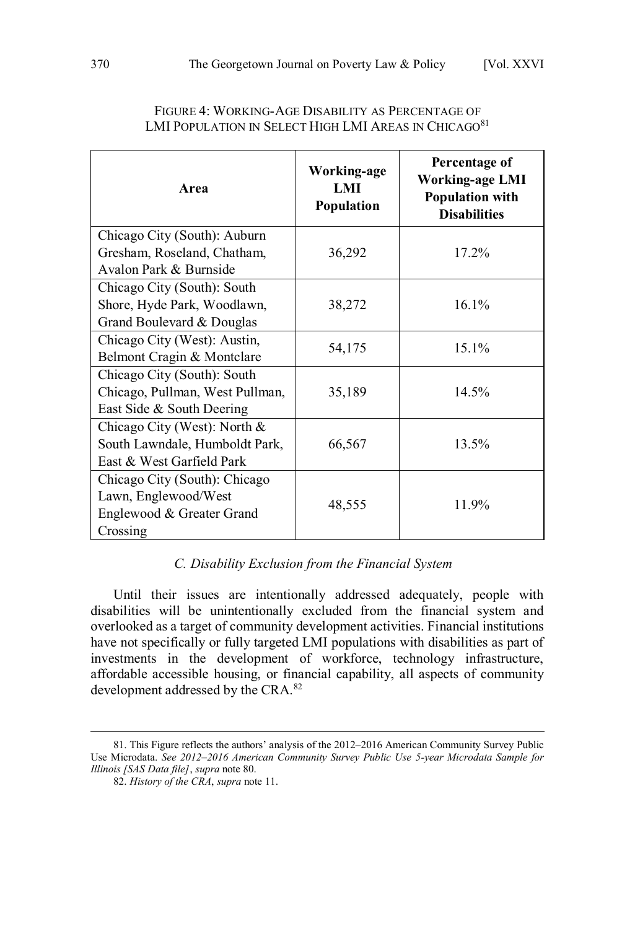<span id="page-15-0"></span>

| Area                                                                                           | Working-age<br>LMI<br>Population | Percentage of<br><b>Working-age LMI</b><br><b>Population with</b><br><b>Disabilities</b> |
|------------------------------------------------------------------------------------------------|----------------------------------|------------------------------------------------------------------------------------------|
| Chicago City (South): Auburn                                                                   |                                  | 17.2%                                                                                    |
| Gresham, Roseland, Chatham,<br>Avalon Park & Burnside                                          | 36,292                           |                                                                                          |
| Chicago City (South): South<br>Shore, Hyde Park, Woodlawn,<br>Grand Boulevard & Douglas        | 38,272                           | 16.1%                                                                                    |
| Chicago City (West): Austin,<br>Belmont Cragin & Montclare                                     | 54,175                           | 15.1%                                                                                    |
| Chicago City (South): South<br>Chicago, Pullman, West Pullman,<br>East Side & South Deering    | 35,189                           | 14.5%                                                                                    |
| Chicago City (West): North $&$<br>South Lawndale, Humboldt Park,<br>East & West Garfield Park  | 66,567                           | 13.5%                                                                                    |
| Chicago City (South): Chicago<br>Lawn, Englewood/West<br>Englewood & Greater Grand<br>Crossing | 48,555                           | 11.9%                                                                                    |

#### FIGURE 4: WORKING-AGE DISABILITY AS PERCENTAGE OF LMI POPULATION IN SELECT HIGH LMI AREAS IN CHICAGO<sup>81</sup>

#### *C. Disability Exclusion from the Financial System*

Until their issues are intentionally addressed adequately, people with disabilities will be unintentionally excluded from the financial system and overlooked as a target of community development activities. Financial institutions have not specifically or fully targeted LMI populations with disabilities as part of investments in the development of workforce, technology infrastructure, affordable accessible housing, or financial capability, all aspects of community development addressed by the CRA.<sup>82</sup>

<sup>81.</sup> This Figure reflects the authors' analysis of the 2012–2016 American Community Survey Public Use Microdata. *See 2012–2016 American Community Survey Public Use 5-year Microdata Sample for Illinois [SAS Data file]*, *supra* note 80.

<sup>82.</sup> *History of the CRA*, *supra* note 11.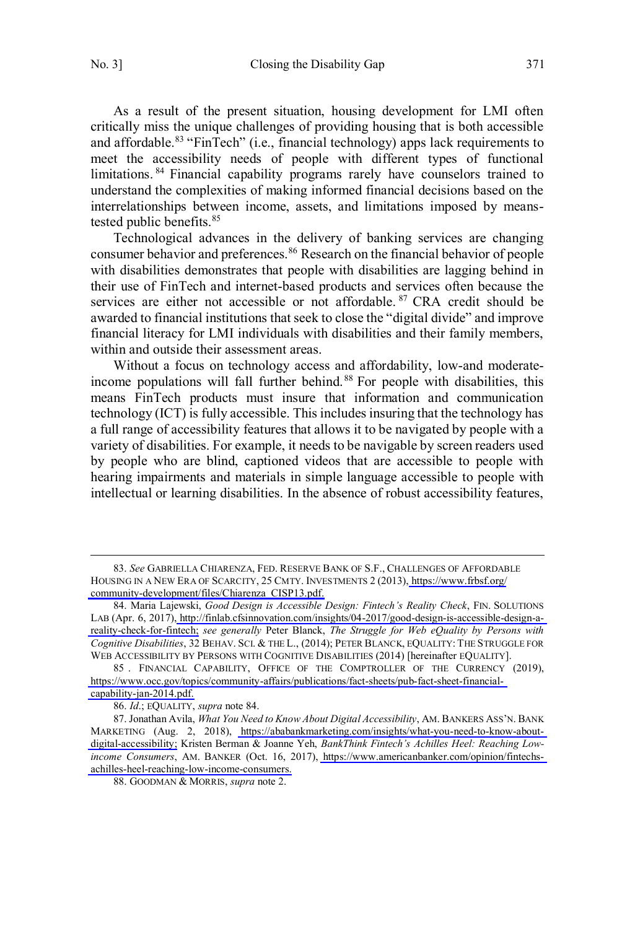$\overline{a}$ 

As a result of the present situation, housing development for LMI often critically miss the unique challenges of providing housing that is both accessible and affordable.<sup>83</sup> "FinTech" (i.e., financial technology) apps lack requirements to meet the accessibility needs of people with different types of functional limitations.<sup>84</sup> Financial capability programs rarely have counselors trained to understand the complexities of making informed financial decisions based on the interrelationships between income, assets, and limitations imposed by meanstested public benefits.<sup>85</sup>

Technological advances in the delivery of banking services are changing consumer behavior and preferences.<sup>86</sup> Research on the financial behavior of people with disabilities demonstrates that people with disabilities are lagging behind in their use of FinTech and internet-based products and services often because the services are either not accessible or not affordable. <sup>87</sup> CRA credit should be awarded to financial institutions that seek to close the "digital divide" and improve financial literacy for LMI individuals with disabilities and their family members, within and outside their assessment areas.

Without a focus on technology access and affordability, low-and moderateincome populations will fall further behind. <sup>88</sup> For people with disabilities, this means FinTech products must insure that information and communication technology (ICT) is fully accessible. This includes insuring that the technology has a full range of accessibility features that allows it to be navigated by people with a variety of disabilities. For example, it needs to be navigable by screen readers used by people who are blind, captioned videos that are accessible to people with hearing impairments and materials in simple language accessible to people with intellectual or learning disabilities. In the absence of robust accessibility features,

*See* GABRIELLA CHIARENZA, FED. RESERVE BANK OF S.F., CHALLENGES OF AFFORDABLE 83. HOUSING IN A NEW ERA OF SCARCITY, 25 CMTY. INVESTMENTS 2 (2013), [https://www.frbsf.org/](https://www.frbsf.org/community-development/files/Chiarenza_CISP13.pdf) [community-development/files/Chiarenza\\_CISP13.pdf.](https://www.frbsf.org/community-development/files/Chiarenza_CISP13.pdf)

<sup>84.</sup> Maria Lajewski, *Good Design is Accessible Design: Fintech's Reality Check*, FIN. SOLUTIONS LAB (Apr. 6, 2017)[, http://finlab.cfsinnovation.com/insights/04-2017/good-design-is-accessible-design-a](http://finlab.cfsinnovation.com/insights/04-2017/good-design-is-accessible-design-a-reality-check-for-fintech/)[reality-check-for-fintech;](http://finlab.cfsinnovation.com/insights/04-2017/good-design-is-accessible-design-a-reality-check-for-fintech/) *see generally* Peter Blanck, *The Struggle for Web eQuality by Persons with Cognitive Disabilities*, 32 BEHAV. SCI. & THE L., (2014); PETER BLANCK, EQUALITY: THE STRUGGLE FOR WEB ACCESSIBILITY BY PERSONS WITH COGNITIVE DISABILITIES (2014) [hereinafter EQUALITY].

<sup>85.</sup> FINANCIAL CAPABILITY, OFFICE OF THE COMPTROLLER OF THE CURRENCY (2019), [https://www.occ.gov/topics/community-affairs/publications/fact-sheets/pub-fact-sheet-financial](https://www.occ.gov/topics/community-affairs/publications/fact-sheets/pub-fact-sheet-financial-capability-jan-2014.pdf)[capability-jan-2014.pdf.](https://www.occ.gov/topics/community-affairs/publications/fact-sheets/pub-fact-sheet-financial-capability-jan-2014.pdf)

<sup>86.</sup> *Id*.; EQUALITY, *supra* note 84.

<sup>87.</sup> Jonathan Avila, *What You Need to Know About Digital Accessibility*, AM. BANKERS ASS'N. BANK MARKETING (Aug. 2, 2018), [https://ababankmarketing.com/insights/what-you-need-to-know-about](https://www.ababankmarketing.com/insights/what-you-need-to-know-about-digital-accessibility)[digital-accessibility;](https://www.ababankmarketing.com/insights/what-you-need-to-know-about-digital-accessibility) Kristen Berman & Joanne Yeh, *BankThink Fintech's Achilles Heel: Reaching Lowincome Consumers*, AM. BANKER (Oct. 16, 2017), [https://www.americanbanker.com/opinion/fintechs](https://www.americanbanker.com/opinion/fintechs-achilles-heel-reaching-low-income-consumers)[achilles-heel-reaching-low-income-consumers.](https://www.americanbanker.com/opinion/fintechs-achilles-heel-reaching-low-income-consumers)

<sup>88.</sup> GOODMAN & MORRIS, *supra* note 2.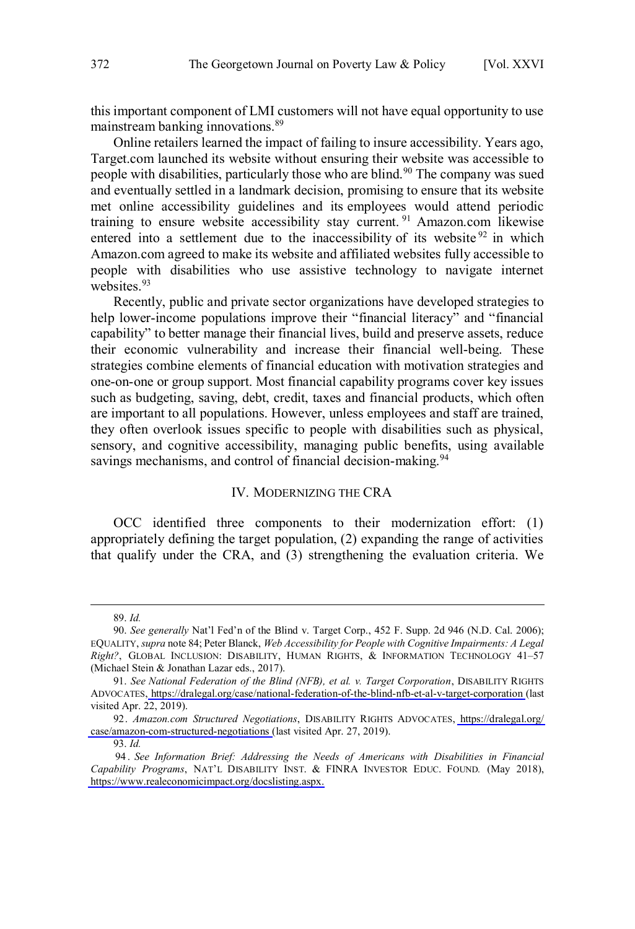<span id="page-17-0"></span>this important component of LMI customers will not have equal opportunity to use mainstream banking innovations.<sup>89</sup>

Online retailers learned the impact of failing to insure accessibility. Years ago, Target.com launched its website without ensuring their website was accessible to people with disabilities, particularly those who are blind.<sup>90</sup> The company was sued and eventually settled in a landmark decision, promising to ensure that its website met online accessibility guidelines and its employees would attend periodic training to ensure website accessibility stay current.<sup>91</sup> Amazon.com likewise entered into a settlement due to the inaccessibility of its website  $92$  in which Amazon.com agreed to make its website and affiliated websites fully accessible to people with disabilities who use assistive technology to navigate internet websites.<sup>93</sup>

Recently, public and private sector organizations have developed strategies to help lower-income populations improve their "financial literacy" and "financial capability" to better manage their financial lives, build and preserve assets, reduce their economic vulnerability and increase their financial well-being. These strategies combine elements of financial education with motivation strategies and one-on-one or group support. Most financial capability programs cover key issues such as budgeting, saving, debt, credit, taxes and financial products, which often are important to all populations. However, unless employees and staff are trained, they often overlook issues specific to people with disabilities such as physical, sensory, and cognitive accessibility, managing public benefits, using available savings mechanisms, and control of financial decision-making.<sup>94</sup>

#### IV. MODERNIZING THE CRA

OCC identified three components to their modernization effort: (1) appropriately defining the target population, (2) expanding the range of activities that qualify under the CRA, and (3) strengthening the evaluation criteria. We

<sup>89.</sup> *Id.*

<sup>90.</sup> *See generally* Nat'l Fed'n of the Blind v. Target Corp., 452 F. Supp. 2d 946 (N.D. Cal. 2006); EQUALITY, *supra* note 84; Peter Blanck, *Web Accessibility for People with Cognitive Impairments: A Legal Right?*, GLOBAL INCLUSION: DISABILITY, HUMAN RIGHTS, & INFORMATION TECHNOLOGY 41–57 (Michael Stein & Jonathan Lazar eds., 2017).

*See National Federation of the Blind (NFB), et al. v. Target Corporation*, DISABILITY RIGHTS 91. ADVOCATES, <https://dralegal.org/case/national-federation-of-the-blind-nfb-et-al-v-target-corporation>(last visited Apr. 22, 2019).

*Amazon.com Structured Negotiations*, DISABILITY RIGHTS ADVOCATES, [https://dralegal.org/](https://dralegal.org/case/amazon-com-structured-negotiations)  92. [case/amazon-com-structured-negotiations](https://dralegal.org/case/amazon-com-structured-negotiations) (last visited Apr. 27, 2019).

<sup>93.</sup> *Id.*

<sup>94.</sup> See Information Brief: Addressing the Needs of Americans with Disabilities in Financial *Capability Programs*, NAT'L DISABILITY INST. & FINRA INVESTOR EDUC. FOUND*.* (May 2018), [https://www.realeconomicimpact.org/docslisting.aspx.](https://www.realeconomicimpact.org/docslisting.aspx)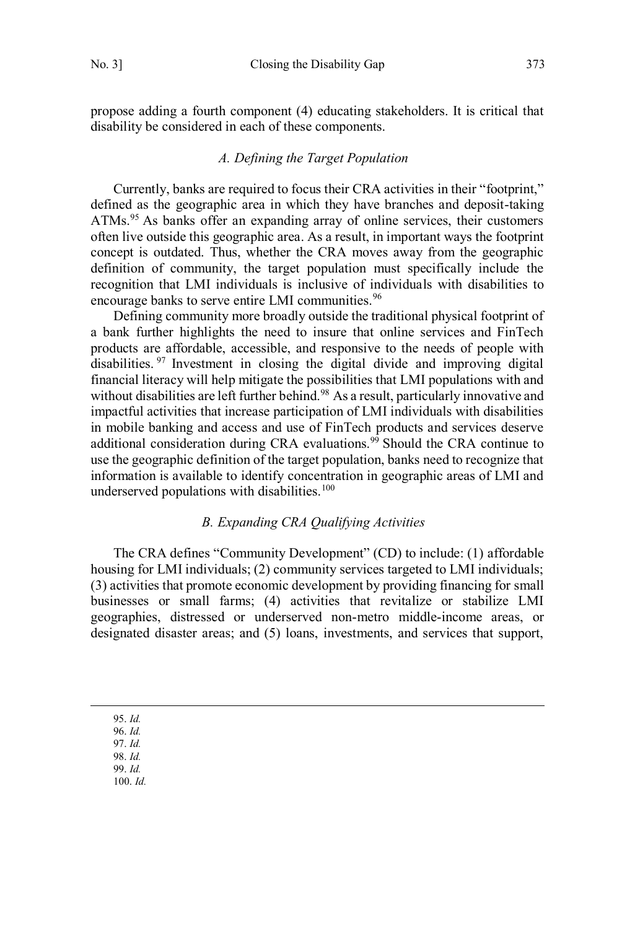<span id="page-18-0"></span>propose adding a fourth component (4) educating stakeholders. It is critical that disability be considered in each of these components.

### *A. Defining the Target Population*

Currently, banks are required to focus their CRA activities in their "footprint," defined as the geographic area in which they have branches and deposit-taking ATMs.<sup>95</sup> As banks offer an expanding array of online services, their customers often live outside this geographic area. As a result, in important ways the footprint concept is outdated. Thus, whether the CRA moves away from the geographic definition of community, the target population must specifically include the recognition that LMI individuals is inclusive of individuals with disabilities to encourage banks to serve entire LMI communities.<sup>96</sup>

Defining community more broadly outside the traditional physical footprint of a bank further highlights the need to insure that online services and FinTech products are affordable, accessible, and responsive to the needs of people with disabilities. <sup>97</sup> Investment in closing the digital divide and improving digital financial literacy will help mitigate the possibilities that LMI populations with and without disabilities are left further behind.<sup>98</sup> As a result, particularly innovative and impactful activities that increase participation of LMI individuals with disabilities in mobile banking and access and use of FinTech products and services deserve additional consideration during CRA evaluations.<sup>99</sup> Should the CRA continue to use the geographic definition of the target population, banks need to recognize that information is available to identify concentration in geographic areas of LMI and underserved populations with disabilities.<sup>100</sup>

### *B. Expanding CRA Qualifying Activities*

The CRA defines "Community Development" (CD) to include: (1) affordable housing for LMI individuals; (2) community services targeted to LMI individuals; (3) activities that promote economic development by providing financing for small businesses or small farms; (4) activities that revitalize or stabilize LMI geographies, distressed or underserved non-metro middle-income areas, or designated disaster areas; and (5) loans, investments, and services that support,

95. *Id.* 96. *Id.* 97. *Id.*  98. *Id.*  99. *Id.* 100. *Id.*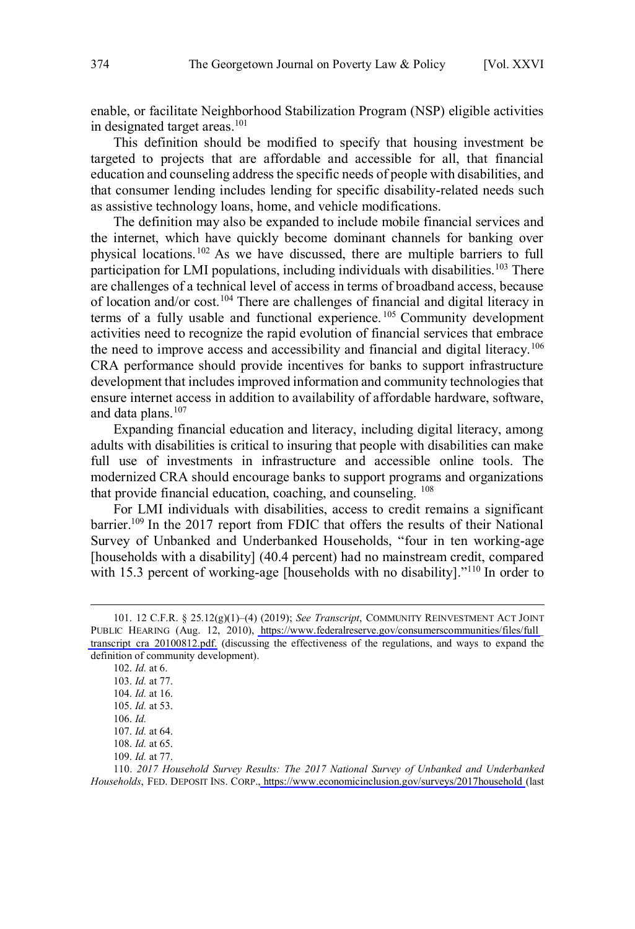enable, or facilitate Neighborhood Stabilization Program (NSP) eligible activities in designated target areas.<sup>101</sup>

This definition should be modified to specify that housing investment be targeted to projects that are affordable and accessible for all, that financial education and counseling address the specific needs of people with disabilities, and that consumer lending includes lending for specific disability-related needs such as assistive technology loans, home, and vehicle modifications.

The definition may also be expanded to include mobile financial services and the internet, which have quickly become dominant channels for banking over physical locations.<sup>102</sup> As we have discussed, there are multiple barriers to full participation for LMI populations, including individuals with disabilities.<sup>103</sup> There are challenges of a technical level of access in terms of broadband access, because of location and/or cost.<sup>104</sup> There are challenges of financial and digital literacy in terms of a fully usable and functional experience. <sup>105</sup> Community development activities need to recognize the rapid evolution of financial services that embrace the need to improve access and accessibility and financial and digital literacy.<sup>106</sup> CRA performance should provide incentives for banks to support infrastructure development that includes improved information and community technologies that ensure internet access in addition to availability of affordable hardware, software, and data plans. $107$ 

Expanding financial education and literacy, including digital literacy, among adults with disabilities is critical to insuring that people with disabilities can make full use of investments in infrastructure and accessible online tools. The modernized CRA should encourage banks to support programs and organizations that provide financial education, coaching, and counseling. <sup>108</sup>

For LMI individuals with disabilities, access to credit remains a significant barrier.<sup>109</sup> In the 2017 report from FDIC that offers the results of their National Survey of Unbanked and Underbanked Households, "four in ten working-age [households with a disability] (40.4 percent) had no mainstream credit, compared with 15.3 percent of working-age [households with no disability]."<sup>110</sup> In order to

<sup>12</sup> C.F.R. § 25.12(g)(1)–(4) (2019); *See Transcript*, COMMUNITY REINVESTMENT ACT JOINT 101. PUBLIC HEARING (Aug. 12, 2010), [https://www.federalreserve.gov/consumerscommunities/files/full\\_](https://www.federalreserve.gov/consumerscommunities/files/full_transcript_cra_20100812.pdf) transcript cra\_20100812.pdf. (discussing the effectiveness of the regulations, and ways to expand the definition of community development).

<sup>102.</sup> *Id.* at 6. 103. *Id.* at 77. 104. *Id.* at 16. 105. *Id.* at 53. 106. *Id.* 107. *Id.* at 64. 108. *Id.* at 65. 109. *Id.* at 77.

<sup>110. 2017</sup> Household Survey Results: The 2017 National Survey of Unbanked and Underbanked *Households*, FED. DEPOSIT INS. CORP., <https://www.economicinclusion.gov/surveys/2017household>(last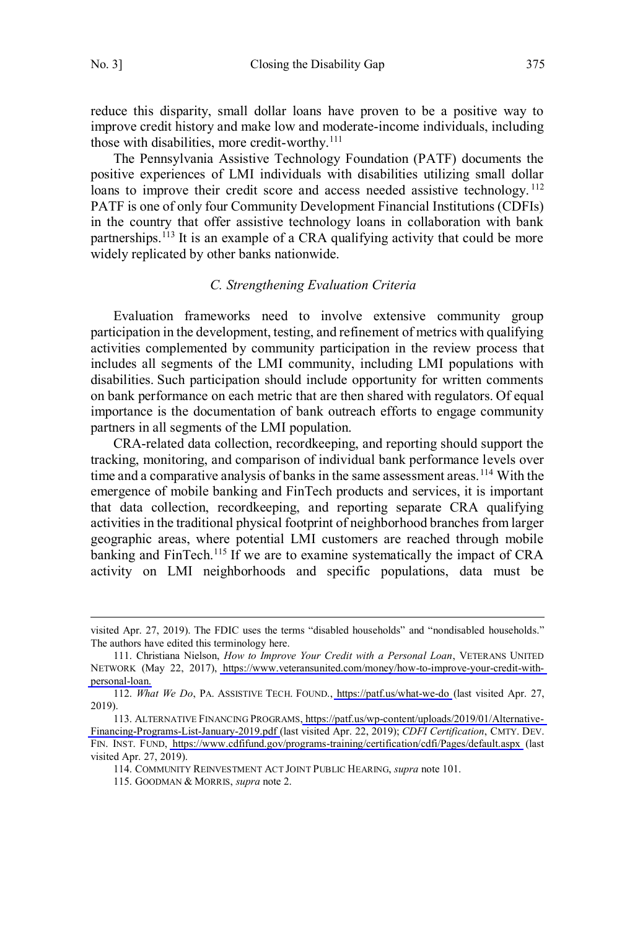$\overline{a}$ 

<span id="page-20-0"></span>reduce this disparity, small dollar loans have proven to be a positive way to improve credit history and make low and moderate-income individuals, including those with disabilities, more credit-worthy.<sup>111</sup>

The Pennsylvania Assistive Technology Foundation (PATF) documents the positive experiences of LMI individuals with disabilities utilizing small dollar loans to improve their credit score and access needed assistive technology.<sup>112</sup> PATF is one of only four Community Development Financial Institutions (CDFIs) in the country that offer assistive technology loans in collaboration with bank partnerships.<sup>113</sup> It is an example of a CRA qualifying activity that could be more widely replicated by other banks nationwide.

#### *C. Strengthening Evaluation Criteria*

Evaluation frameworks need to involve extensive community group participation in the development, testing, and refinement of metrics with qualifying activities complemented by community participation in the review process that includes all segments of the LMI community, including LMI populations with disabilities. Such participation should include opportunity for written comments on bank performance on each metric that are then shared with regulators. Of equal importance is the documentation of bank outreach efforts to engage community partners in all segments of the LMI population.

CRA-related data collection, recordkeeping, and reporting should support the tracking, monitoring, and comparison of individual bank performance levels over time and a comparative analysis of banks in the same assessment areas.<sup>114</sup> With the emergence of mobile banking and FinTech products and services, it is important that data collection, recordkeeping, and reporting separate CRA qualifying activities in the traditional physical footprint of neighborhood branches from larger geographic areas, where potential LMI customers are reached through mobile banking and FinTech.<sup>115</sup> If we are to examine systematically the impact of CRA activity on LMI neighborhoods and specific populations, data must be

visited Apr. 27, 2019). The FDIC uses the terms "disabled households" and "nondisabled households." The authors have edited this terminology here.

<sup>111.</sup> Christiana Nielson, *How to Improve Your Credit with a Personal Loan*, VETERANS UNITED NETWORK (May 22, 2017), [https://www.veteransunited.com/money/how-to-improve-your-credit-with](https://www.veteransunited.com/money/how-to-improve-your-credit-with-personal-loan)[personal-loan.](https://www.veteransunited.com/money/how-to-improve-your-credit-with-personal-loan)

<sup>112.</sup> What We Do, PA. ASSISTIVE TECH. FOUND., <https://patf.us/what-we-do>(last visited Apr. 27, 2019).

ALTERNATIVE FINANCING PROGRAMS[, https://patf.us/wp-content/uploads/2019/01/Alternative-](https://patf.us/wp-content/uploads/2019/01/Alternative-Financing-Programs-List-January-2019.pdf)113. [Financing-Programs-List-January-2019.pdf](https://patf.us/wp-content/uploads/2019/01/Alternative-Financing-Programs-List-January-2019.pdf) (last visited Apr. 22, 2019); *CDFI Certification*, CMTY. DEV. FIN. INST. FUND, <https://www.cdfifund.gov/programs-training/certification/cdfi/Pages/default.aspx>(last visited Apr. 27, 2019).

<sup>114.</sup> COMMUNITY REINVESTMENT ACT JOINT PUBLIC HEARING, *supra* note 101.

<sup>115.</sup> GOODMAN & MORRIS, *supra* note 2.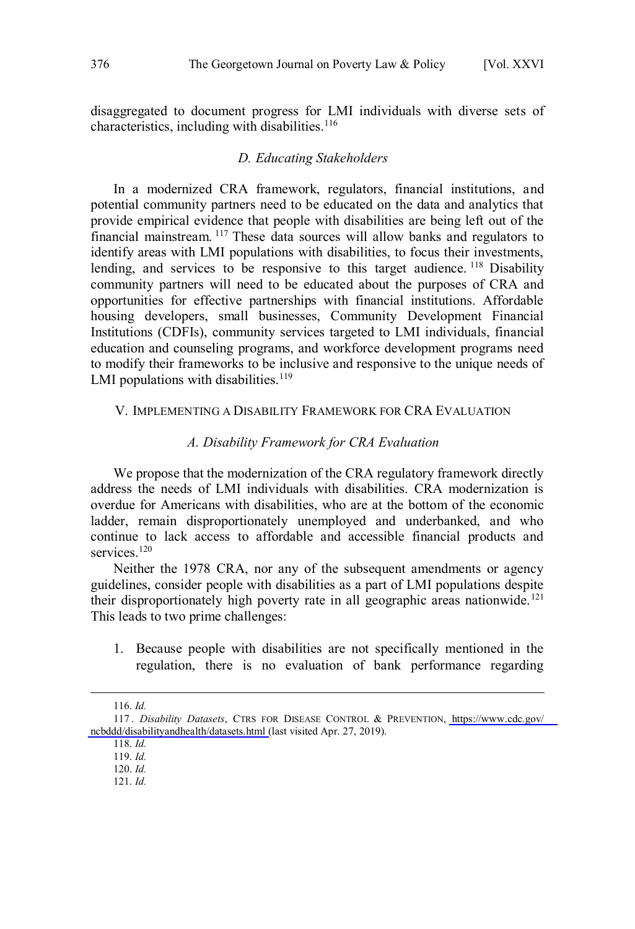<span id="page-21-0"></span>disaggregated to document progress for LMI individuals with diverse sets of characteristics, including with disabilities. $116$ 

#### *D. Educating Stakeholders*

In a modernized CRA framework, regulators, financial institutions, and potential community partners need to be educated on the data and analytics that provide empirical evidence that people with disabilities are being left out of the financial mainstream. <sup>117</sup> These data sources will allow banks and regulators to identify areas with LMI populations with disabilities, to focus their investments, lending, and services to be responsive to this target audience.<sup>118</sup> Disability community partners will need to be educated about the purposes of CRA and opportunities for effective partnerships with financial institutions. Affordable housing developers, small businesses, Community Development Financial Institutions (CDFIs), community services targeted to LMI individuals, financial education and counseling programs, and workforce development programs need to modify their frameworks to be inclusive and responsive to the unique needs of LMI populations with disabilities. $119$ 

#### V. IMPLEMENTING A DISABILITY FRAMEWORK FOR CRA EVALUATION

#### *A. Disability Framework for CRA Evaluation*

We propose that the modernization of the CRA regulatory framework directly address the needs of LMI individuals with disabilities. CRA modernization is overdue for Americans with disabilities, who are at the bottom of the economic ladder, remain disproportionately unemployed and underbanked, and who continue to lack access to affordable and accessible financial products and services<sup>120</sup>

Neither the 1978 CRA, nor any of the subsequent amendments or agency guidelines, consider people with disabilities as a part of LMI populations despite their disproportionately high poverty rate in all geographic areas nationwide.<sup>121</sup> This leads to two prime challenges:

1. Because people with disabilities are not specifically mentioned in the regulation, there is no evaluation of bank performance regarding

 $\overline{a}$ 

120. *Id.*

<sup>116.</sup> *Id.*

*Disability Datasets*, CTRS FOR DISEASE CONTROL & PREVENTION, [https://www.cdc.gov/](https://www.cdc.gov/ncbddd/disabilityandhealth/datasets.html) 117 . [ncbddd/disabilityandhealth/datasets.html](https://www.cdc.gov/ncbddd/disabilityandhealth/datasets.html) (last visited Apr. 27, 2019).

<sup>118.</sup> *Id.*

<sup>119.</sup> *Id.*

<sup>121.</sup> *Id.*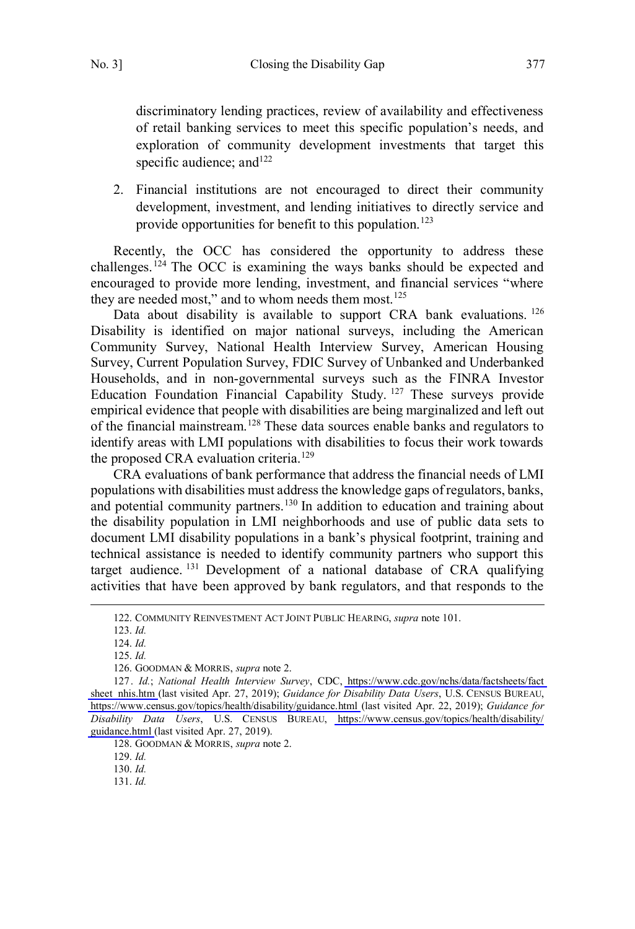discriminatory lending practices, review of availability and effectiveness of retail banking services to meet this specific population's needs, and exploration of community development investments that target this specific audience; and<sup>122</sup>

2. Financial institutions are not encouraged to direct their community development, investment, and lending initiatives to directly service and provide opportunities for benefit to this population.<sup>123</sup>

Recently, the OCC has considered the opportunity to address these challenges.<sup> $124$ </sup> The OCC is examining the ways banks should be expected and encouraged to provide more lending, investment, and financial services "where they are needed most," and to whom needs them most.<sup>125</sup>

Data about disability is available to support CRA bank evaluations. <sup>126</sup> Disability is identified on major national surveys, including the American Community Survey, National Health Interview Survey, American Housing Survey, Current Population Survey, FDIC Survey of Unbanked and Underbanked Households, and in non-governmental surveys such as the FINRA Investor Education Foundation Financial Capability Study.<sup>127</sup> These surveys provide empirical evidence that people with disabilities are being marginalized and left out of the financial mainstream.<sup>128</sup> These data sources enable banks and regulators to identify areas with LMI populations with disabilities to focus their work towards the proposed CRA evaluation criteria.<sup>129</sup>

CRA evaluations of bank performance that address the financial needs of LMI populations with disabilities must address the knowledge gaps of regulators, banks, and potential community partners.<sup>130</sup> In addition to education and training about the disability population in LMI neighborhoods and use of public data sets to document LMI disability populations in a bank's physical footprint, training and technical assistance is needed to identify community partners who support this target audience. <sup>131</sup> Development of a national database of CRA qualifying activities that have been approved by bank regulators, and that responds to the

123. *Id.*

124. *Id.*

 $\overline{a}$ 

125. *Id.*

126. GOODMAN & MORRIS, *supra* note 2.

128. GOODMAN & MORRIS, *supra* note 2.

129. *Id.*

130. *Id.*

131. *Id.*

<sup>122.</sup> COMMUNITY REINVESTMENT ACT JOINT PUBLIC HEARING, *supra* note 101.

*Id.*; *National Health Interview Survey*, CDC, [https://www.cdc.gov/nchs/data/factsheets/fact](https://www.cdc.gov/nchs/data/factsheets/factsheet_nhis.htm)  127. [sheet\\_nhis.htm](https://www.cdc.gov/nchs/data/factsheets/factsheet_nhis.htm) (last visited Apr. 27, 2019); *Guidance for Disability Data Users*, U.S. CENSUS BUREAU, <https://www.census.gov/topics/health/disability/guidance.html> (last visited Apr. 22, 2019); *Guidance for Disability Data Users*, U.S. CENSUS BUREAU, [https://www.census.gov/topics/health/disability/](https://www.census.gov/topics/health/disability/guidance.html) [guidance.html \(](https://www.census.gov/topics/health/disability/guidance.html)last visited Apr. 27, 2019).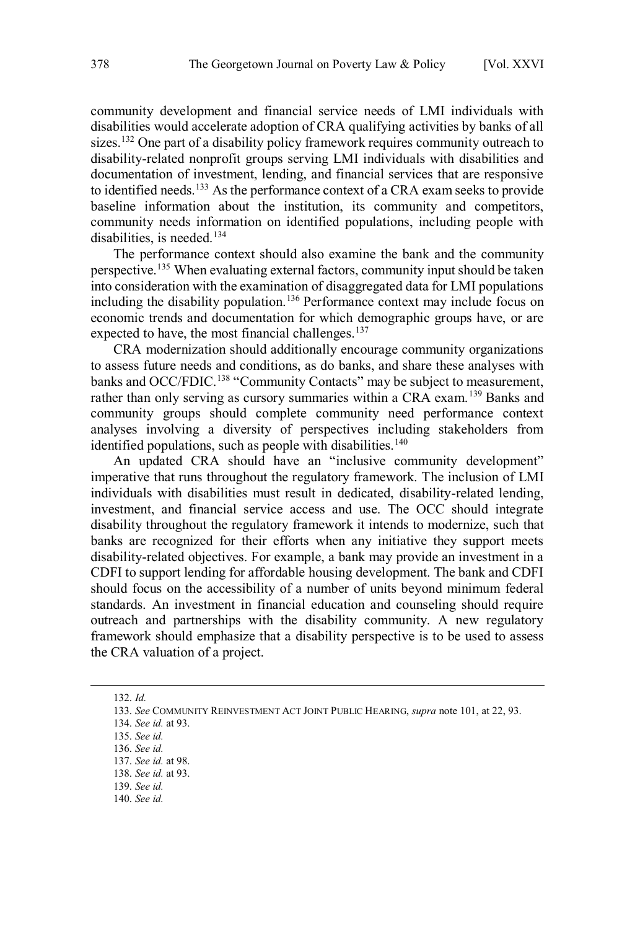community development and financial service needs of LMI individuals with disabilities would accelerate adoption of CRA qualifying activities by banks of all sizes.<sup>132</sup> One part of a disability policy framework requires community outreach to disability-related nonprofit groups serving LMI individuals with disabilities and documentation of investment, lending, and financial services that are responsive to identified needs.<sup>133</sup> As the performance context of a CRA exam seeks to provide baseline information about the institution, its community and competitors, community needs information on identified populations, including people with disabilities, is needed.<sup>134</sup>

The performance context should also examine the bank and the community perspective.<sup>135</sup> When evaluating external factors, community input should be taken into consideration with the examination of disaggregated data for LMI populations including the disability population.<sup>136</sup> Performance context may include focus on economic trends and documentation for which demographic groups have, or are expected to have, the most financial challenges.<sup>137</sup>

CRA modernization should additionally encourage community organizations to assess future needs and conditions, as do banks, and share these analyses with banks and OCC/FDIC.<sup>138</sup> "Community Contacts" may be subject to measurement, rather than only serving as cursory summaries within a CRA exam.<sup>139</sup> Banks and community groups should complete community need performance context analyses involving a diversity of perspectives including stakeholders from identified populations, such as people with disabilities.<sup>140</sup>

An updated CRA should have an "inclusive community development" imperative that runs throughout the regulatory framework. The inclusion of LMI individuals with disabilities must result in dedicated, disability-related lending, investment, and financial service access and use. The OCC should integrate disability throughout the regulatory framework it intends to modernize, such that banks are recognized for their efforts when any initiative they support meets disability-related objectives. For example, a bank may provide an investment in a CDFI to support lending for affordable housing development. The bank and CDFI should focus on the accessibility of a number of units beyond minimum federal standards. An investment in financial education and counseling should require outreach and partnerships with the disability community. A new regulatory framework should emphasize that a disability perspective is to be used to assess the CRA valuation of a project.

 $\overline{a}$ 

139. *See id.*

<sup>132.</sup> *Id.*

<sup>133.</sup> *See* COMMUNITY REINVESTMENT ACT JOINT PUBLIC HEARING, *supra* note 101, at 22, 93.

<sup>134.</sup> *See id.* at 93.

<sup>135.</sup> *See id.*

<sup>136.</sup> *See id.*

<sup>137.</sup> *See id.* at 98.

<sup>138.</sup> *See id.* at 93.

<sup>140.</sup> *See id.*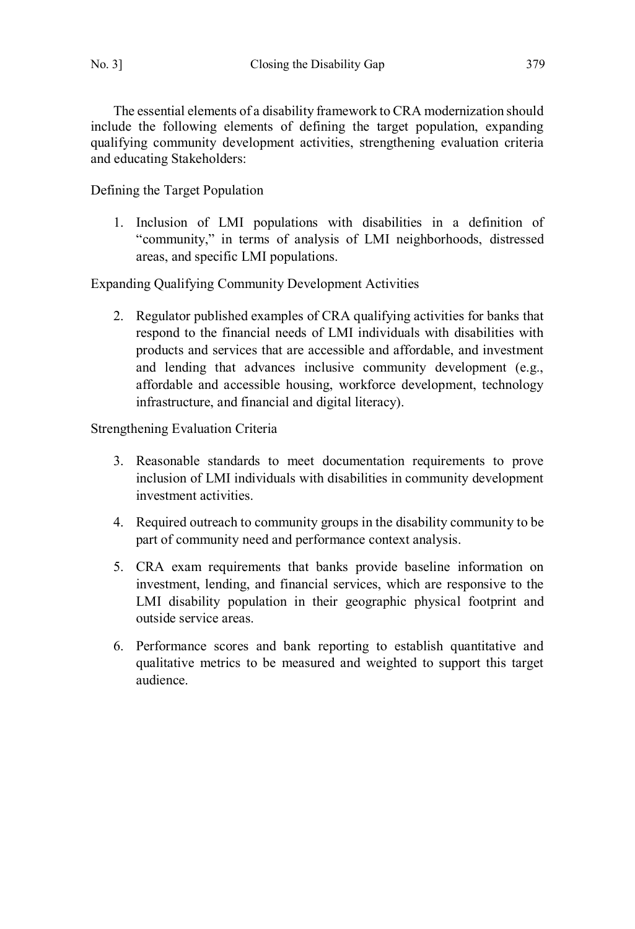The essential elements of a disability framework to CRA modernization should include the following elements of defining the target population, expanding qualifying community development activities, strengthening evaluation criteria and educating Stakeholders:

Defining the Target Population

1. Inclusion of LMI populations with disabilities in a definition of "community," in terms of analysis of LMI neighborhoods, distressed areas, and specific LMI populations.

Expanding Qualifying Community Development Activities

2. Regulator published examples of CRA qualifying activities for banks that respond to the financial needs of LMI individuals with disabilities with products and services that are accessible and affordable, and investment and lending that advances inclusive community development (e.g., affordable and accessible housing, workforce development, technology infrastructure, and financial and digital literacy).

Strengthening Evaluation Criteria

- 3. Reasonable standards to meet documentation requirements to prove inclusion of LMI individuals with disabilities in community development investment activities.
- 4. Required outreach to community groups in the disability community to be part of community need and performance context analysis.
- 5. CRA exam requirements that banks provide baseline information on investment, lending, and financial services, which are responsive to the LMI disability population in their geographic physical footprint and outside service areas.
- 6. Performance scores and bank reporting to establish quantitative and qualitative metrics to be measured and weighted to support this target audience.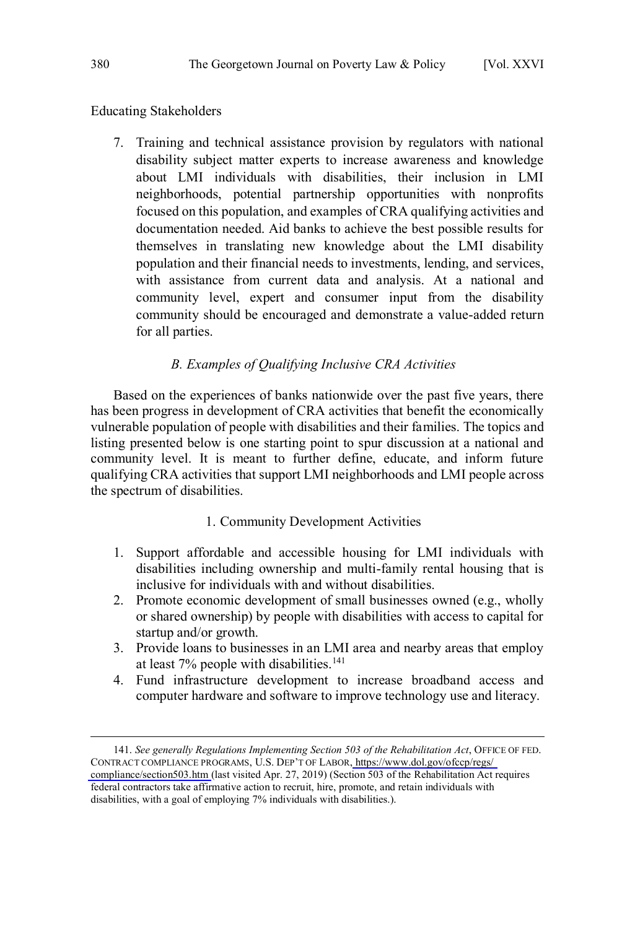<span id="page-25-0"></span>Educating Stakeholders

7. Training and technical assistance provision by regulators with national disability subject matter experts to increase awareness and knowledge about LMI individuals with disabilities, their inclusion in LMI neighborhoods, potential partnership opportunities with nonprofits focused on this population, and examples of CRA qualifying activities and documentation needed. Aid banks to achieve the best possible results for themselves in translating new knowledge about the LMI disability population and their financial needs to investments, lending, and services, with assistance from current data and analysis. At a national and community level, expert and consumer input from the disability community should be encouraged and demonstrate a value-added return for all parties.

### *B. Examples of Qualifying Inclusive CRA Activities*

Based on the experiences of banks nationwide over the past five years, there has been progress in development of CRA activities that benefit the economically vulnerable population of people with disabilities and their families. The topics and listing presented below is one starting point to spur discussion at a national and community level. It is meant to further define, educate, and inform future qualifying CRA activities that support LMI neighborhoods and LMI people across the spectrum of disabilities.

#### 1. Community Development Activities

- 1. Support affordable and accessible housing for LMI individuals with disabilities including ownership and multi-family rental housing that is inclusive for individuals with and without disabilities.
- 2. Promote economic development of small businesses owned (e.g., wholly or shared ownership) by people with disabilities with access to capital for startup and/or growth.
- 3. Provide loans to businesses in an LMI area and nearby areas that employ at least 7% people with disabilities.<sup>141</sup>
- 4. Fund infrastructure development to increase broadband access and computer hardware and software to improve technology use and literacy.

<sup>141.</sup> See generally Regulations Implementing Section 503 of the Rehabilitation Act, OFFICE OF FED. CONTRACT COMPLIANCE PROGRAMS, U.S. DEP'T OF LABOR[, https://www.dol.gov/ofccp/regs/](https://www.dol.gov/ofccp/regs/compliance/section503.htm)  [compliance/section503.htm \(](https://www.dol.gov/ofccp/regs/compliance/section503.htm)last visited Apr. 27, 2019) (Section 503 of the Rehabilitation Act requires federal contractors take affirmative action to recruit, hire, promote, and retain individuals with disabilities, with a goal of employing 7% individuals with disabilities.).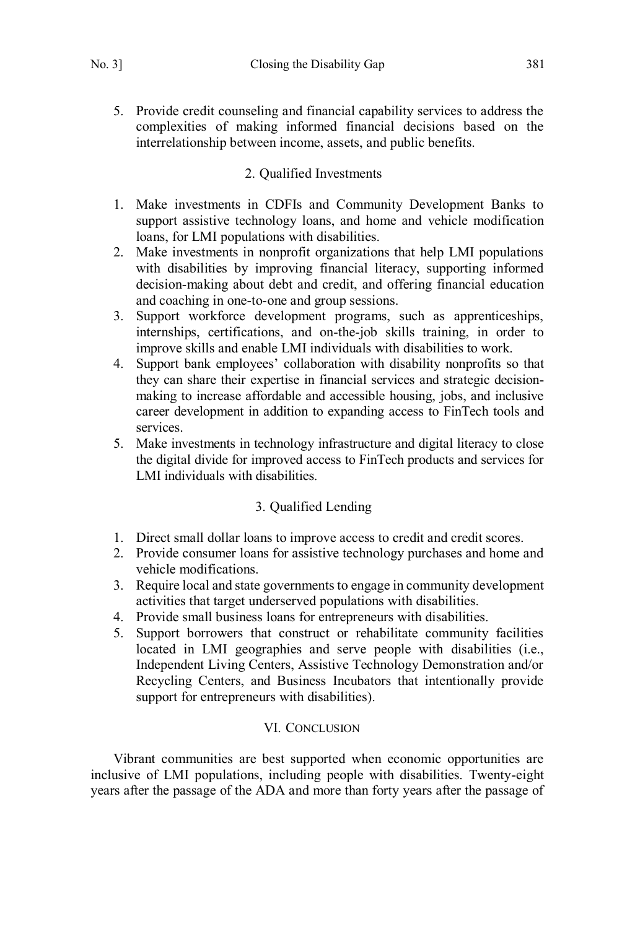<span id="page-26-0"></span>5. Provide credit counseling and financial capability services to address the complexities of making informed financial decisions based on the interrelationship between income, assets, and public benefits.

# 2. Qualified Investments

- 1. Make investments in CDFIs and Community Development Banks to support assistive technology loans, and home and vehicle modification loans, for LMI populations with disabilities.
- 2. Make investments in nonprofit organizations that help LMI populations with disabilities by improving financial literacy, supporting informed decision-making about debt and credit, and offering financial education and coaching in one-to-one and group sessions.
- 3. Support workforce development programs, such as apprenticeships, internships, certifications, and on-the-job skills training, in order to improve skills and enable LMI individuals with disabilities to work.
- 4. Support bank employees' collaboration with disability nonprofits so that they can share their expertise in financial services and strategic decisionmaking to increase affordable and accessible housing, jobs, and inclusive career development in addition to expanding access to FinTech tools and services.
- 5. Make investments in technology infrastructure and digital literacy to close the digital divide for improved access to FinTech products and services for LMI individuals with disabilities.

# 3. Qualified Lending

- 1. Direct small dollar loans to improve access to credit and credit scores.
- 2. Provide consumer loans for assistive technology purchases and home and vehicle modifications.
- 3. Require local and state governments to engage in community development activities that target underserved populations with disabilities.
- 4. Provide small business loans for entrepreneurs with disabilities.
- 5. Support borrowers that construct or rehabilitate community facilities located in LMI geographies and serve people with disabilities (i.e., Independent Living Centers, Assistive Technology Demonstration and/or Recycling Centers, and Business Incubators that intentionally provide support for entrepreneurs with disabilities).

## VI. CONCLUSION

Vibrant communities are best supported when economic opportunities are inclusive of LMI populations, including people with disabilities. Twenty-eight years after the passage of the ADA and more than forty years after the passage of